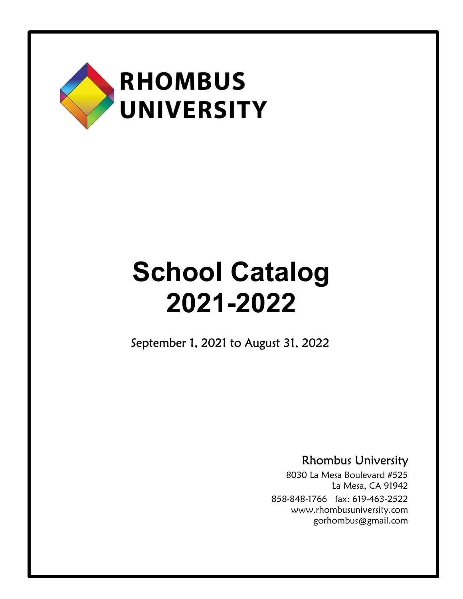

September 1, 2021 to August 31, 2022

Rhombus University

8030 La Mesa Boulevard #525 La Mesa, CA 91942 858-848-1766 fax: 619-463-2522 www.rhombusuniversity.com gorhombus@gmail.com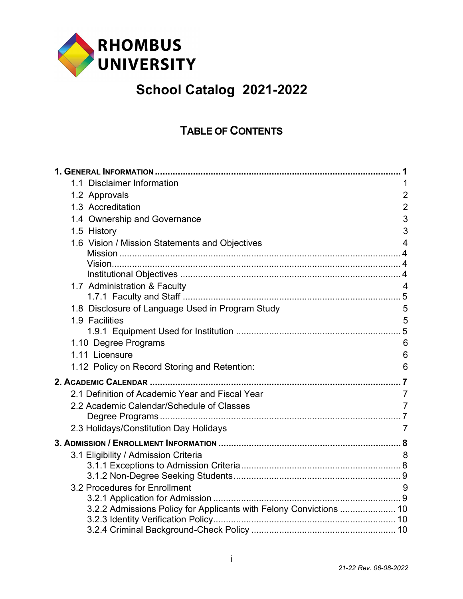

## TABLE OF CONTENTS

| 1.1 Disclaimer Information                                         | 1               |
|--------------------------------------------------------------------|-----------------|
| 1.2 Approvals                                                      | $\overline{2}$  |
| 1.3 Accreditation                                                  | $\overline{2}$  |
| 1.4 Ownership and Governance                                       | 3               |
| 1.5 History                                                        | 3               |
| 1.6 Vision / Mission Statements and Objectives                     | $\overline{4}$  |
|                                                                    |                 |
|                                                                    |                 |
|                                                                    |                 |
| 1.7 Administration & Faculty                                       | $\overline{4}$  |
| 1.8 Disclosure of Language Used in Program Study                   | 5               |
| 1.9 Facilities                                                     | 5               |
|                                                                    |                 |
| 1.10 Degree Programs                                               | $6\phantom{1}6$ |
| 1.11 Licensure                                                     | 6               |
| 1.12 Policy on Record Storing and Retention:                       | 6               |
|                                                                    |                 |
| 2.1 Definition of Academic Year and Fiscal Year                    | $\overline{7}$  |
| 2.2 Academic Calendar/Schedule of Classes                          | $\overline{7}$  |
|                                                                    |                 |
| 2.3 Holidays/Constitution Day Holidays                             | $\overline{7}$  |
|                                                                    |                 |
| 3.1 Eligibility / Admission Criteria                               | 8               |
|                                                                    |                 |
|                                                                    |                 |
| 3.2 Procedures for Enrollment                                      | 9               |
| 3.2.2 Admissions Policy for Applicants with Felony Convictions  10 |                 |
|                                                                    |                 |
|                                                                    |                 |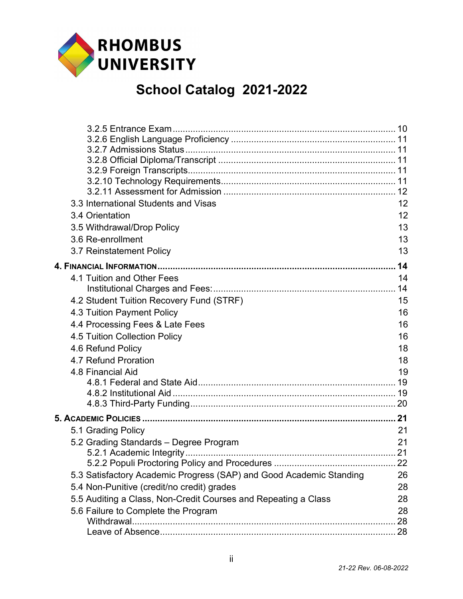

| 3.3 International Students and Visas                                | 12 |
|---------------------------------------------------------------------|----|
| 3.4 Orientation                                                     | 12 |
| 3.5 Withdrawal/Drop Policy                                          | 13 |
| 3.6 Re-enrollment                                                   | 13 |
| 3.7 Reinstatement Policy                                            | 13 |
|                                                                     | 14 |
| 4.1 Tuition and Other Fees                                          | 14 |
|                                                                     |    |
| 4.2 Student Tuition Recovery Fund (STRF)                            | 15 |
| 4.3 Tuition Payment Policy                                          | 16 |
| 4.4 Processing Fees & Late Fees                                     | 16 |
| 4.5 Tuition Collection Policy                                       | 16 |
| 4.6 Refund Policy                                                   | 18 |
| 4.7 Refund Proration                                                | 18 |
| 4.8 Financial Aid                                                   | 19 |
|                                                                     |    |
|                                                                     |    |
|                                                                     |    |
|                                                                     |    |
| 5.1 Grading Policy                                                  | 21 |
| 5.2 Grading Standards - Degree Program                              | 21 |
|                                                                     |    |
|                                                                     |    |
| 5.3 Satisfactory Academic Progress (SAP) and Good Academic Standing | 26 |
| 5.4 Non-Punitive (credit/no credit) grades                          | 28 |
| 5.5 Auditing a Class, Non-Credit Courses and Repeating a Class      | 28 |
| 5.6 Failure to Complete the Program                                 | 28 |
|                                                                     | 28 |
|                                                                     |    |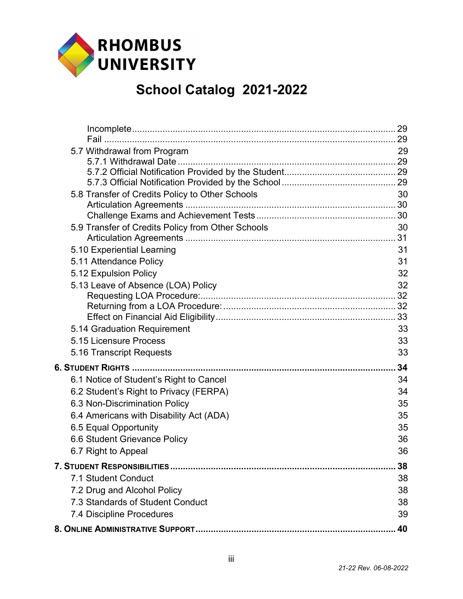

| 5.7 Withdrawal from Program                       | 29 |
|---------------------------------------------------|----|
|                                                   |    |
|                                                   |    |
|                                                   |    |
| 5.8 Transfer of Credits Policy to Other Schools   | 30 |
|                                                   |    |
| 5.9 Transfer of Credits Policy from Other Schools | 30 |
|                                                   |    |
| 5.10 Experiential Learning                        | 31 |
| 5.11 Attendance Policy                            | 31 |
| 5.12 Expulsion Policy                             | 32 |
| 5.13 Leave of Absence (LOA) Policy                | 32 |
|                                                   |    |
|                                                   |    |
|                                                   |    |
| 5.14 Graduation Requirement                       | 33 |
| 5.15 Licensure Process                            | 33 |
| 5.16 Transcript Requests                          | 33 |
|                                                   | 34 |
| 6.1 Notice of Student's Right to Cancel           | 34 |
| 6.2 Student's Right to Privacy (FERPA)            | 34 |
| 6.3 Non-Discrimination Policy                     | 35 |
| 6.4 Americans with Disability Act (ADA)           | 35 |
| 6.5 Equal Opportunity                             | 35 |
| 6.6 Student Grievance Policy                      | 36 |
| 6.7 Right to Appeal                               | 36 |
|                                                   | 38 |
| 7.1 Student Conduct                               | 38 |
| 7.2 Drug and Alcohol Policy                       | 38 |
| 7.3 Standards of Student Conduct                  | 38 |
| 7.4 Discipline Procedures                         | 39 |
|                                                   | 40 |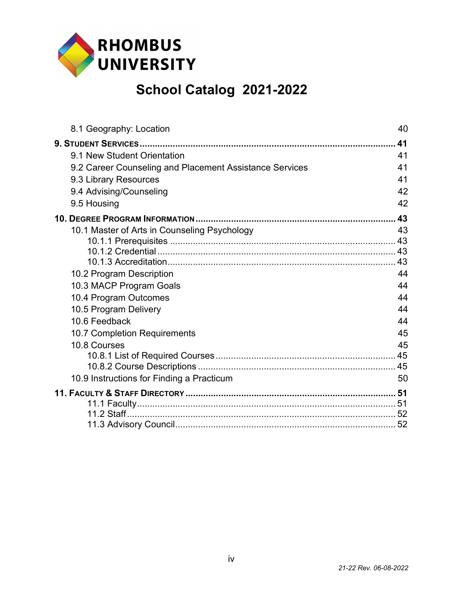

| 8.1 Geography: Location                                 | 40 |
|---------------------------------------------------------|----|
|                                                         | 41 |
| 9.1 New Student Orientation                             | 41 |
| 9.2 Career Counseling and Placement Assistance Services | 41 |
| 9.3 Library Resources                                   | 41 |
| 9.4 Advising/Counseling                                 | 42 |
| 9.5 Housing                                             | 42 |
|                                                         | 43 |
| 10.1 Master of Arts in Counseling Psychology            | 43 |
|                                                         | 43 |
|                                                         |    |
|                                                         | 43 |
| 10.2 Program Description                                | 44 |
| 10.3 MACP Program Goals                                 | 44 |
| 10.4 Program Outcomes                                   | 44 |
| 10.5 Program Delivery                                   | 44 |
| 10.6 Feedback                                           | 44 |
| 10.7 Completion Requirements                            | 45 |
| 10.8 Courses                                            | 45 |
|                                                         |    |
| 10.9 Instructions for Finding a Practicum               | 50 |
|                                                         |    |
|                                                         |    |
|                                                         |    |
|                                                         |    |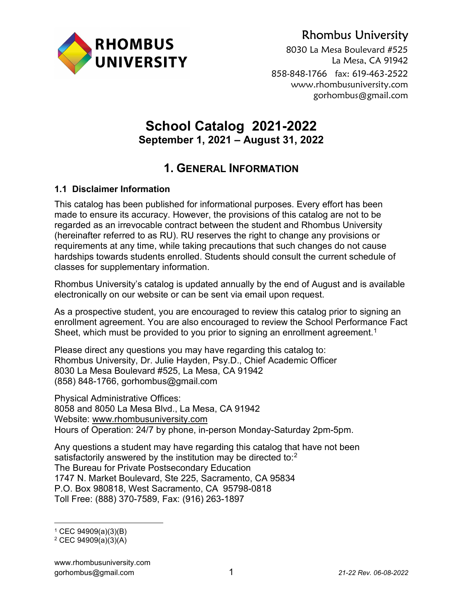

## Rhombus University

8030 La Mesa Boulevard #525 La Mesa, CA 91942 858-848-1766 fax: 619-463-2522 www.rhombusuniversity.com gorhombus@gmail.com

### School Catalog 2021-2022 September 1, 2021 – August 31, 2022

## 1. GENERAL INFORMATION

#### 1.1 Disclaimer Information

This catalog has been published for informational purposes. Every effort has been made to ensure its accuracy. However, the provisions of this catalog are not to be regarded as an irrevocable contract between the student and Rhombus University (hereinafter referred to as RU). RU reserves the right to change any provisions or requirements at any time, while taking precautions that such changes do not cause hardships towards students enrolled. Students should consult the current schedule of classes for supplementary information.

Rhombus University's catalog is updated annually by the end of August and is available electronically on our website or can be sent via email upon request.

As a prospective student, you are encouraged to review this catalog prior to signing an enrollment agreement. You are also encouraged to review the School Performance Fact Sheet, which must be provided to you prior to signing an enrollment agreement.<sup>1</sup>

Please direct any questions you may have regarding this catalog to: Rhombus University, Dr. Julie Hayden, Psy.D., Chief Academic Officer 8030 La Mesa Boulevard #525, La Mesa, CA 91942 (858) 848-1766, gorhombus@gmail.com

Physical Administrative Offices: 8058 and 8050 La Mesa Blvd., La Mesa, CA 91942 Website: www.rhombusuniversity.com Hours of Operation: 24/7 by phone, in-person Monday-Saturday 2pm-5pm.

Any questions a student may have regarding this catalog that have not been satisfactorily answered by the institution may be directed to:<sup>2</sup> The Bureau for Private Postsecondary Education 1747 N. Market Boulevard, Ste 225, Sacramento, CA 95834 P.O. Box 980818, West Sacramento, CA 95798-0818 Toll Free: (888) 370-7589, Fax: (916) 263-1897

<sup>1</sup> CEC 94909(a)(3)(B)

<sup>2</sup> CEC 94909(a)(3)(A)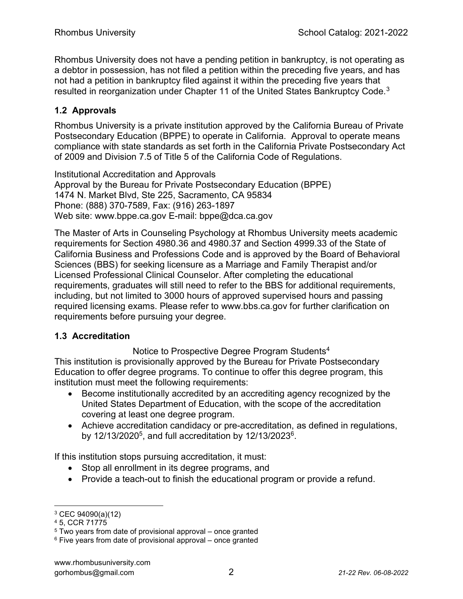Rhombus University does not have a pending petition in bankruptcy, is not operating as a debtor in possession, has not filed a petition within the preceding five years, and has not had a petition in bankruptcy filed against it within the preceding five years that resulted in reorganization under Chapter 11 of the United States Bankruptcy Code.<sup>3</sup>

#### 1.2 Approvals

Rhombus University is a private institution approved by the California Bureau of Private Postsecondary Education (BPPE) to operate in California. Approval to operate means compliance with state standards as set forth in the California Private Postsecondary Act of 2009 and Division 7.5 of Title 5 of the California Code of Regulations.

Institutional Accreditation and Approvals Approval by the Bureau for Private Postsecondary Education (BPPE) 1474 N. Market Blvd, Ste 225, Sacramento, CA 95834 Phone: (888) 370-7589, Fax: (916) 263-1897 Web site: www.bppe.ca.gov E-mail: bppe@dca.ca.gov

The Master of Arts in Counseling Psychology at Rhombus University meets academic requirements for Section 4980.36 and 4980.37 and Section 4999.33 of the State of California Business and Professions Code and is approved by the Board of Behavioral Sciences (BBS) for seeking licensure as a Marriage and Family Therapist and/or Licensed Professional Clinical Counselor. After completing the educational requirements, graduates will still need to refer to the BBS for additional requirements, including, but not limited to 3000 hours of approved supervised hours and passing required licensing exams. Please refer to www.bbs.ca.gov for further clarification on requirements before pursuing your degree.

#### 1.3 Accreditation

Notice to Prospective Degree Program Students<sup>4</sup>

This institution is provisionally approved by the Bureau for Private Postsecondary Education to offer degree programs. To continue to offer this degree program, this institution must meet the following requirements:

- Become institutionally accredited by an accrediting agency recognized by the United States Department of Education, with the scope of the accreditation covering at least one degree program.
- Achieve accreditation candidacy or pre-accreditation, as defined in regulations, by 12/13/2020<sup>5</sup>, and full accreditation by 12/13/2023<sup>6</sup>.

If this institution stops pursuing accreditation, it must:

- Stop all enrollment in its degree programs, and
- Provide a teach-out to finish the educational program or provide a refund.

<sup>3</sup> CEC 94090(a)(12)

<sup>4</sup> 5, CCR 71775

<sup>5</sup> Two years from date of provisional approval – once granted

<sup>6</sup> Five years from date of provisional approval – once granted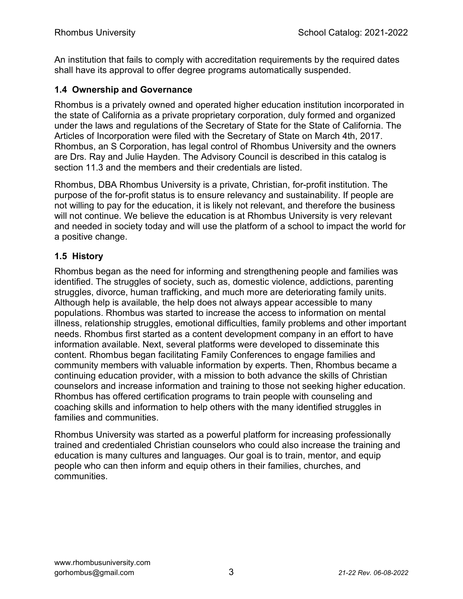An institution that fails to comply with accreditation requirements by the required dates shall have its approval to offer degree programs automatically suspended.

#### 1.4 Ownership and Governance

Rhombus is a privately owned and operated higher education institution incorporated in the state of California as a private proprietary corporation, duly formed and organized under the laws and regulations of the Secretary of State for the State of California. The Articles of Incorporation were filed with the Secretary of State on March 4th, 2017. Rhombus, an S Corporation, has legal control of Rhombus University and the owners are Drs. Ray and Julie Hayden. The Advisory Council is described in this catalog is section 11.3 and the members and their credentials are listed.

Rhombus, DBA Rhombus University is a private, Christian, for-profit institution. The purpose of the for-profit status is to ensure relevancy and sustainability. If people are not willing to pay for the education, it is likely not relevant, and therefore the business will not continue. We believe the education is at Rhombus University is very relevant and needed in society today and will use the platform of a school to impact the world for a positive change.

#### 1.5 History

Rhombus began as the need for informing and strengthening people and families was identified. The struggles of society, such as, domestic violence, addictions, parenting struggles, divorce, human trafficking, and much more are deteriorating family units. Although help is available, the help does not always appear accessible to many populations. Rhombus was started to increase the access to information on mental illness, relationship struggles, emotional difficulties, family problems and other important needs. Rhombus first started as a content development company in an effort to have information available. Next, several platforms were developed to disseminate this content. Rhombus began facilitating Family Conferences to engage families and community members with valuable information by experts. Then, Rhombus became a continuing education provider, with a mission to both advance the skills of Christian counselors and increase information and training to those not seeking higher education. Rhombus has offered certification programs to train people with counseling and coaching skills and information to help others with the many identified struggles in families and communities.

Rhombus University was started as a powerful platform for increasing professionally trained and credentialed Christian counselors who could also increase the training and education is many cultures and languages. Our goal is to train, mentor, and equip people who can then inform and equip others in their families, churches, and communities.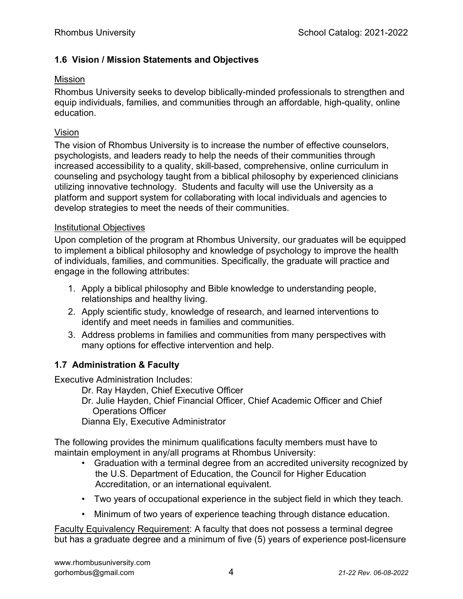#### 1.6 Vision / Mission Statements and Objectives

#### Mission

Rhombus University seeks to develop biblically-minded professionals to strengthen and equip individuals, families, and communities through an affordable, high-quality, online education.

#### Vision

The vision of Rhombus University is to increase the number of effective counselors, psychologists, and leaders ready to help the needs of their communities through increased accessibility to a quality, skill-based, comprehensive, online curriculum in counseling and psychology taught from a biblical philosophy by experienced clinicians utilizing innovative technology. Students and faculty will use the University as a platform and support system for collaborating with local individuals and agencies to develop strategies to meet the needs of their communities.

#### Institutional Objectives

Upon completion of the program at Rhombus University, our graduates will be equipped to implement a biblical philosophy and knowledge of psychology to improve the health of individuals, families, and communities. Specifically, the graduate will practice and engage in the following attributes:

- 1. Apply a biblical philosophy and Bible knowledge to understanding people, relationships and healthy living.
- 2. Apply scientific study, knowledge of research, and learned interventions to identify and meet needs in families and communities.
- 3. Address problems in families and communities from many perspectives with many options for effective intervention and help.

#### 1.7 Administration & Faculty

Executive Administration Includes:

- Dr. Ray Hayden, Chief Executive Officer
- Dr. Julie Hayden, Chief Financial Officer, Chief Academic Officer and Chief Operations Officer

Dianna Ely, Executive Administrator

The following provides the minimum qualifications faculty members must have to maintain employment in any/all programs at Rhombus University:

- Graduation with a terminal degree from an accredited university recognized by the U.S. Department of Education, the Council for Higher Education Accreditation, or an international equivalent.
- Two years of occupational experience in the subject field in which they teach.
- Minimum of two years of experience teaching through distance education.

Faculty Equivalency Requirement: A faculty that does not possess a terminal degree but has a graduate degree and a minimum of five (5) years of experience post-licensure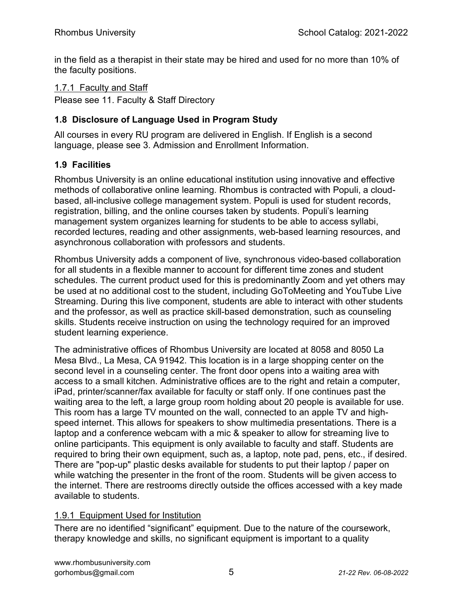in the field as a therapist in their state may be hired and used for no more than 10% of the faculty positions.

#### 1.7.1 Faculty and Staff

Please see 11. Faculty & Staff Directory

#### 1.8 Disclosure of Language Used in Program Study

All courses in every RU program are delivered in English. If English is a second language, please see 3. Admission and Enrollment Information.

#### 1.9 Facilities

Rhombus University is an online educational institution using innovative and effective methods of collaborative online learning. Rhombus is contracted with Populi, a cloudbased, all-inclusive college management system. Populi is used for student records, registration, billing, and the online courses taken by students. Populi's learning management system organizes learning for students to be able to access syllabi, recorded lectures, reading and other assignments, web-based learning resources, and asynchronous collaboration with professors and students.

Rhombus University adds a component of live, synchronous video-based collaboration for all students in a flexible manner to account for different time zones and student schedules. The current product used for this is predominantly Zoom and yet others may be used at no additional cost to the student, including GoToMeeting and YouTube Live Streaming. During this live component, students are able to interact with other students and the professor, as well as practice skill-based demonstration, such as counseling skills. Students receive instruction on using the technology required for an improved student learning experience.

The administrative offices of Rhombus University are located at 8058 and 8050 La Mesa Blvd., La Mesa, CA 91942. This location is in a large shopping center on the second level in a counseling center. The front door opens into a waiting area with access to a small kitchen. Administrative offices are to the right and retain a computer, iPad, printer/scanner/fax available for faculty or staff only. If one continues past the waiting area to the left, a large group room holding about 20 people is available for use. This room has a large TV mounted on the wall, connected to an apple TV and highspeed internet. This allows for speakers to show multimedia presentations. There is a laptop and a conference webcam with a mic & speaker to allow for streaming live to online participants. This equipment is only available to faculty and staff. Students are required to bring their own equipment, such as, a laptop, note pad, pens, etc., if desired. There are "pop-up" plastic desks available for students to put their laptop / paper on while watching the presenter in the front of the room. Students will be given access to the internet. There are restrooms directly outside the offices accessed with a key made available to students.

#### 1.9.1 Equipment Used for Institution

There are no identified "significant" equipment. Due to the nature of the coursework, therapy knowledge and skills, no significant equipment is important to a quality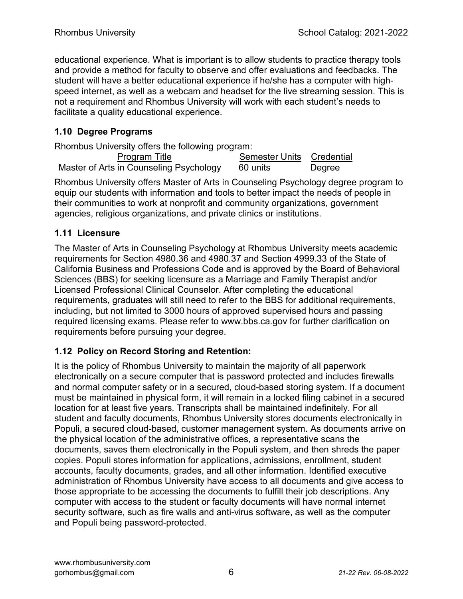educational experience. What is important is to allow students to practice therapy tools and provide a method for faculty to observe and offer evaluations and feedbacks. The student will have a better educational experience if he/she has a computer with highspeed internet, as well as a webcam and headset for the live streaming session. This is not a requirement and Rhombus University will work with each student's needs to facilitate a quality educational experience.

#### 1.10 Degree Programs

Rhombus University offers the following program:

| <b>Program Title</b>                    | . | Semester Units Credential |        |
|-----------------------------------------|---|---------------------------|--------|
| Master of Arts in Counseling Psychology |   | 60 units                  | Degree |

Rhombus University offers Master of Arts in Counseling Psychology degree program to equip our students with information and tools to better impact the needs of people in their communities to work at nonprofit and community organizations, government agencies, religious organizations, and private clinics or institutions.

#### 1.11 Licensure

The Master of Arts in Counseling Psychology at Rhombus University meets academic requirements for Section 4980.36 and 4980.37 and Section 4999.33 of the State of California Business and Professions Code and is approved by the Board of Behavioral Sciences (BBS) for seeking licensure as a Marriage and Family Therapist and/or Licensed Professional Clinical Counselor. After completing the educational requirements, graduates will still need to refer to the BBS for additional requirements, including, but not limited to 3000 hours of approved supervised hours and passing required licensing exams. Please refer to www.bbs.ca.gov for further clarification on requirements before pursuing your degree.

#### 1.12 Policy on Record Storing and Retention:

It is the policy of Rhombus University to maintain the majority of all paperwork electronically on a secure computer that is password protected and includes firewalls and normal computer safety or in a secured, cloud-based storing system. If a document must be maintained in physical form, it will remain in a locked filing cabinet in a secured location for at least five years. Transcripts shall be maintained indefinitely. For all student and faculty documents, Rhombus University stores documents electronically in Populi, a secured cloud-based, customer management system. As documents arrive on the physical location of the administrative offices, a representative scans the documents, saves them electronically in the Populi system, and then shreds the paper copies. Populi stores information for applications, admissions, enrollment, student accounts, faculty documents, grades, and all other information. Identified executive administration of Rhombus University have access to all documents and give access to those appropriate to be accessing the documents to fulfill their job descriptions. Any computer with access to the student or faculty documents will have normal internet security software, such as fire walls and anti-virus software, as well as the computer and Populi being password-protected.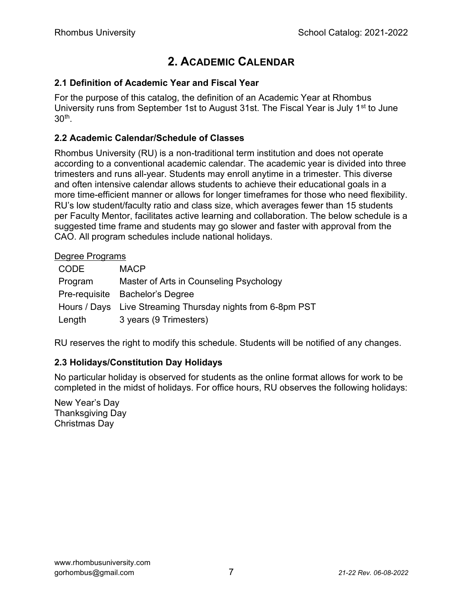## 2. ACADEMIC CALENDAR

#### 2.1 Definition of Academic Year and Fiscal Year

For the purpose of this catalog, the definition of an Academic Year at Rhombus University runs from September 1st to August 31st. The Fiscal Year is July 1<sup>st</sup> to June 30th .

#### 2.2 Academic Calendar/Schedule of Classes

Rhombus University (RU) is a non-traditional term institution and does not operate according to a conventional academic calendar. The academic year is divided into three trimesters and runs all-year. Students may enroll anytime in a trimester. This diverse and often intensive calendar allows students to achieve their educational goals in a more time-efficient manner or allows for longer timeframes for those who need flexibility. RU's low student/faculty ratio and class size, which averages fewer than 15 students per Faculty Mentor, facilitates active learning and collaboration. The below schedule is a suggested time frame and students may go slower and faster with approval from the CAO. All program schedules include national holidays.

#### Degree Programs

| CODE    | <b>MACP</b>                                                |
|---------|------------------------------------------------------------|
| Program | Master of Arts in Counseling Psychology                    |
|         | Pre-requisite Bachelor's Degree                            |
|         | Hours / Days Live Streaming Thursday nights from 6-8pm PST |
| Length  | 3 years (9 Trimesters)                                     |

RU reserves the right to modify this schedule. Students will be notified of any changes.

#### 2.3 Holidays/Constitution Day Holidays

No particular holiday is observed for students as the online format allows for work to be completed in the midst of holidays. For office hours, RU observes the following holidays:

New Year's Day Thanksgiving Day Christmas Day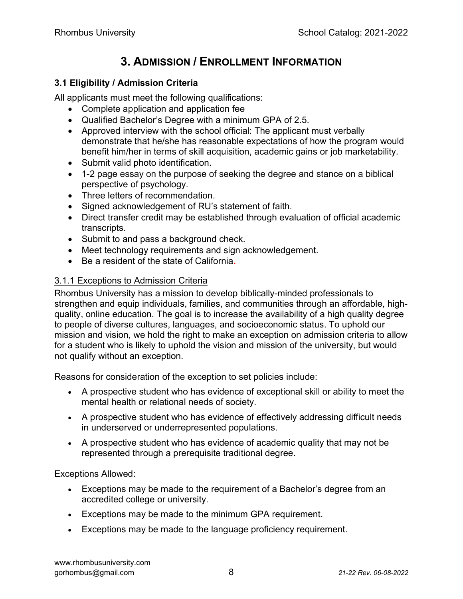## 3. ADMISSION / ENROLLMENT INFORMATION

#### 3.1 Eligibility / Admission Criteria

All applicants must meet the following qualifications:

- Complete application and application fee
- Qualified Bachelor's Degree with a minimum GPA of 2.5.
- Approved interview with the school official: The applicant must verbally demonstrate that he/she has reasonable expectations of how the program would benefit him/her in terms of skill acquisition, academic gains or job marketability.
- Submit valid photo identification.
- 1-2 page essay on the purpose of seeking the degree and stance on a biblical perspective of psychology.
- Three letters of recommendation.
- Signed acknowledgement of RU's statement of faith.
- Direct transfer credit may be established through evaluation of official academic transcripts.
- Submit to and pass a background check.
- Meet technology requirements and sign acknowledgement.
- Be a resident of the state of California.

#### 3.1.1 Exceptions to Admission Criteria

Rhombus University has a mission to develop biblically-minded professionals to strengthen and equip individuals, families, and communities through an affordable, highquality, online education. The goal is to increase the availability of a high quality degree to people of diverse cultures, languages, and socioeconomic status. To uphold our mission and vision, we hold the right to make an exception on admission criteria to allow for a student who is likely to uphold the vision and mission of the university, but would not qualify without an exception.

Reasons for consideration of the exception to set policies include:

- A prospective student who has evidence of exceptional skill or ability to meet the mental health or relational needs of society.
- A prospective student who has evidence of effectively addressing difficult needs in underserved or underrepresented populations.
- A prospective student who has evidence of academic quality that may not be represented through a prerequisite traditional degree.

Exceptions Allowed:

- Exceptions may be made to the requirement of a Bachelor's degree from an accredited college or university.
- Exceptions may be made to the minimum GPA requirement.
- Exceptions may be made to the language proficiency requirement.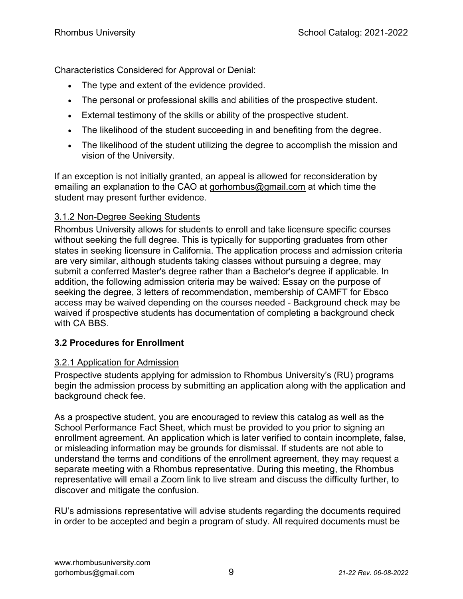Characteristics Considered for Approval or Denial:

- The type and extent of the evidence provided.
- The personal or professional skills and abilities of the prospective student.
- External testimony of the skills or ability of the prospective student.
- The likelihood of the student succeeding in and benefiting from the degree.
- The likelihood of the student utilizing the degree to accomplish the mission and vision of the University.

If an exception is not initially granted, an appeal is allowed for reconsideration by emailing an explanation to the CAO at gorhombus@gmail.com at which time the student may present further evidence.

#### 3.1.2 Non-Degree Seeking Students

Rhombus University allows for students to enroll and take licensure specific courses without seeking the full degree. This is typically for supporting graduates from other states in seeking licensure in California. The application process and admission criteria are very similar, although students taking classes without pursuing a degree, may submit a conferred Master's degree rather than a Bachelor's degree if applicable. In addition, the following admission criteria may be waived: Essay on the purpose of seeking the degree, 3 letters of recommendation, membership of CAMFT for Ebsco access may be waived depending on the courses needed - Background check may be waived if prospective students has documentation of completing a background check with CA BBS.

#### 3.2 Procedures for Enrollment

#### 3.2.1 Application for Admission

Prospective students applying for admission to Rhombus University's (RU) programs begin the admission process by submitting an application along with the application and background check fee.

As a prospective student, you are encouraged to review this catalog as well as the School Performance Fact Sheet, which must be provided to you prior to signing an enrollment agreement. An application which is later verified to contain incomplete, false, or misleading information may be grounds for dismissal. If students are not able to understand the terms and conditions of the enrollment agreement, they may request a separate meeting with a Rhombus representative. During this meeting, the Rhombus representative will email a Zoom link to live stream and discuss the difficulty further, to discover and mitigate the confusion.

RU's admissions representative will advise students regarding the documents required in order to be accepted and begin a program of study. All required documents must be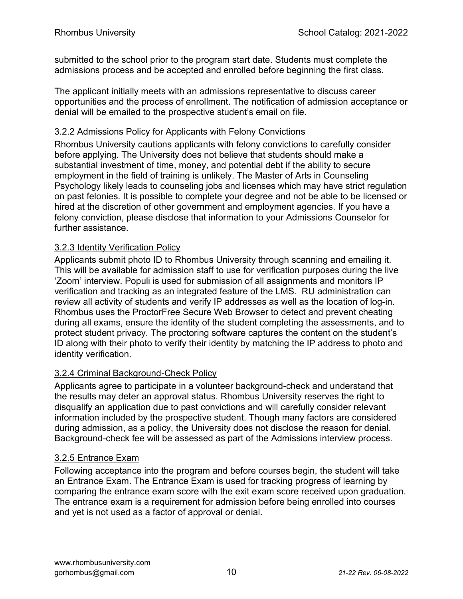submitted to the school prior to the program start date. Students must complete the admissions process and be accepted and enrolled before beginning the first class.

The applicant initially meets with an admissions representative to discuss career opportunities and the process of enrollment. The notification of admission acceptance or denial will be emailed to the prospective student's email on file.

#### 3.2.2 Admissions Policy for Applicants with Felony Convictions

Rhombus University cautions applicants with felony convictions to carefully consider before applying. The University does not believe that students should make a substantial investment of time, money, and potential debt if the ability to secure employment in the field of training is unlikely. The Master of Arts in Counseling Psychology likely leads to counseling jobs and licenses which may have strict regulation on past felonies. It is possible to complete your degree and not be able to be licensed or hired at the discretion of other government and employment agencies. If you have a felony conviction, please disclose that information to your Admissions Counselor for further assistance.

#### 3.2.3 Identity Verification Policy

Applicants submit photo ID to Rhombus University through scanning and emailing it. This will be available for admission staff to use for verification purposes during the live 'Zoom' interview. Populi is used for submission of all assignments and monitors IP verification and tracking as an integrated feature of the LMS. RU administration can review all activity of students and verify IP addresses as well as the location of log-in. Rhombus uses the ProctorFree Secure Web Browser to detect and prevent cheating during all exams, ensure the identity of the student completing the assessments, and to protect student privacy. The proctoring software captures the content on the student's ID along with their photo to verify their identity by matching the IP address to photo and identity verification.

#### 3.2.4 Criminal Background-Check Policy

Applicants agree to participate in a volunteer background-check and understand that the results may deter an approval status. Rhombus University reserves the right to disqualify an application due to past convictions and will carefully consider relevant information included by the prospective student. Though many factors are considered during admission, as a policy, the University does not disclose the reason for denial. Background-check fee will be assessed as part of the Admissions interview process.

#### 3.2.5 Entrance Exam

Following acceptance into the program and before courses begin, the student will take an Entrance Exam. The Entrance Exam is used for tracking progress of learning by comparing the entrance exam score with the exit exam score received upon graduation. The entrance exam is a requirement for admission before being enrolled into courses and yet is not used as a factor of approval or denial.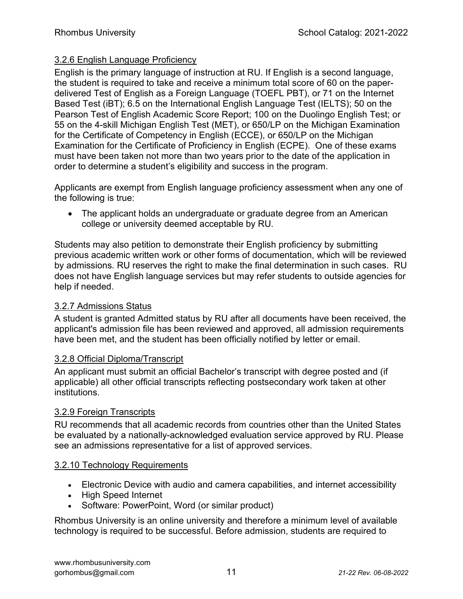#### 3.2.6 English Language Proficiency

English is the primary language of instruction at RU. If English is a second language, the student is required to take and receive a minimum total score of 60 on the paperdelivered Test of English as a Foreign Language (TOEFL PBT), or 71 on the Internet Based Test (iBT); 6.5 on the International English Language Test (IELTS); 50 on the Pearson Test of English Academic Score Report; 100 on the Duolingo English Test; or 55 on the 4-skill Michigan English Test (MET), or 650/LP on the Michigan Examination for the Certificate of Competency in English (ECCE), or 650/LP on the Michigan Examination for the Certificate of Proficiency in English (ECPE). One of these exams must have been taken not more than two years prior to the date of the application in order to determine a student's eligibility and success in the program.

Applicants are exempt from English language proficiency assessment when any one of the following is true:

• The applicant holds an undergraduate or graduate degree from an American college or university deemed acceptable by RU.

Students may also petition to demonstrate their English proficiency by submitting previous academic written work or other forms of documentation, which will be reviewed by admissions. RU reserves the right to make the final determination in such cases. RU does not have English language services but may refer students to outside agencies for help if needed.

#### 3.2.7 Admissions Status

A student is granted Admitted status by RU after all documents have been received, the applicant's admission file has been reviewed and approved, all admission requirements have been met, and the student has been officially notified by letter or email.

#### 3.2.8 Official Diploma/Transcript

An applicant must submit an official Bachelor's transcript with degree posted and (if applicable) all other official transcripts reflecting postsecondary work taken at other institutions.

#### 3.2.9 Foreign Transcripts

RU recommends that all academic records from countries other than the United States be evaluated by a nationally-acknowledged evaluation service approved by RU. Please see an admissions representative for a list of approved services.

#### 3.2.10 Technology Requirements

- Electronic Device with audio and camera capabilities, and internet accessibility
- High Speed Internet
- Software: PowerPoint, Word (or similar product)

Rhombus University is an online university and therefore a minimum level of available technology is required to be successful. Before admission, students are required to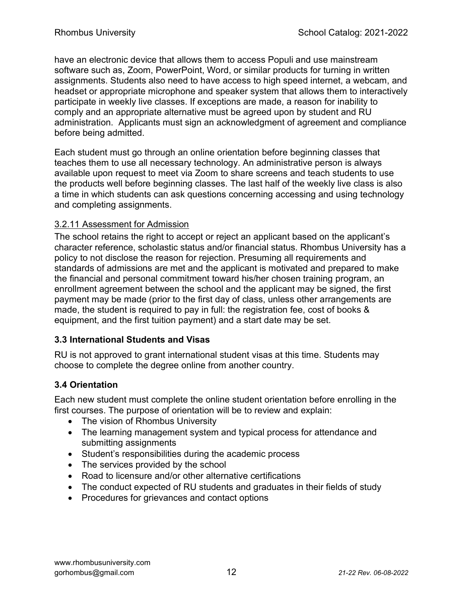have an electronic device that allows them to access Populi and use mainstream software such as, Zoom, PowerPoint, Word, or similar products for turning in written assignments. Students also need to have access to high speed internet, a webcam, and headset or appropriate microphone and speaker system that allows them to interactively participate in weekly live classes. If exceptions are made, a reason for inability to comply and an appropriate alternative must be agreed upon by student and RU administration. Applicants must sign an acknowledgment of agreement and compliance before being admitted.

Each student must go through an online orientation before beginning classes that teaches them to use all necessary technology. An administrative person is always available upon request to meet via Zoom to share screens and teach students to use the products well before beginning classes. The last half of the weekly live class is also a time in which students can ask questions concerning accessing and using technology and completing assignments.

#### 3.2.11 Assessment for Admission

The school retains the right to accept or reject an applicant based on the applicant's character reference, scholastic status and/or financial status. Rhombus University has a policy to not disclose the reason for rejection. Presuming all requirements and standards of admissions are met and the applicant is motivated and prepared to make the financial and personal commitment toward his/her chosen training program, an enrollment agreement between the school and the applicant may be signed, the first payment may be made (prior to the first day of class, unless other arrangements are made, the student is required to pay in full: the registration fee, cost of books & equipment, and the first tuition payment) and a start date may be set.

#### 3.3 International Students and Visas

RU is not approved to grant international student visas at this time. Students may choose to complete the degree online from another country.

#### 3.4 Orientation

Each new student must complete the online student orientation before enrolling in the first courses. The purpose of orientation will be to review and explain:

- The vision of Rhombus University
- The learning management system and typical process for attendance and submitting assignments
- Student's responsibilities during the academic process
- The services provided by the school
- Road to licensure and/or other alternative certifications
- The conduct expected of RU students and graduates in their fields of study
- Procedures for grievances and contact options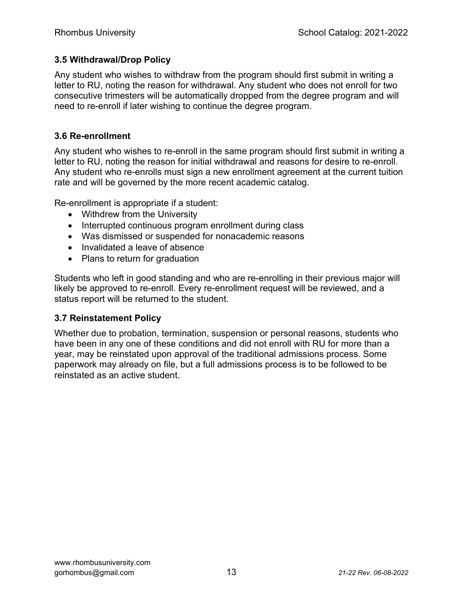#### 3.5 Withdrawal/Drop Policy

Any student who wishes to withdraw from the program should first submit in writing a letter to RU, noting the reason for withdrawal. Any student who does not enroll for two consecutive trimesters will be automatically dropped from the degree program and will need to re-enroll if later wishing to continue the degree program.

#### 3.6 Re-enrollment

Any student who wishes to re-enroll in the same program should first submit in writing a letter to RU, noting the reason for initial withdrawal and reasons for desire to re-enroll. Any student who re-enrolls must sign a new enrollment agreement at the current tuition rate and will be governed by the more recent academic catalog.

Re-enrollment is appropriate if a student:

- Withdrew from the University
- Interrupted continuous program enrollment during class
- Was dismissed or suspended for nonacademic reasons
- Invalidated a leave of absence
- Plans to return for graduation

Students who left in good standing and who are re-enrolling in their previous major will likely be approved to re-enroll. Every re-enrollment request will be reviewed, and a status report will be returned to the student.

#### 3.7 Reinstatement Policy

Whether due to probation, termination, suspension or personal reasons, students who have been in any one of these conditions and did not enroll with RU for more than a year, may be reinstated upon approval of the traditional admissions process. Some paperwork may already on file, but a full admissions process is to be followed to be reinstated as an active student.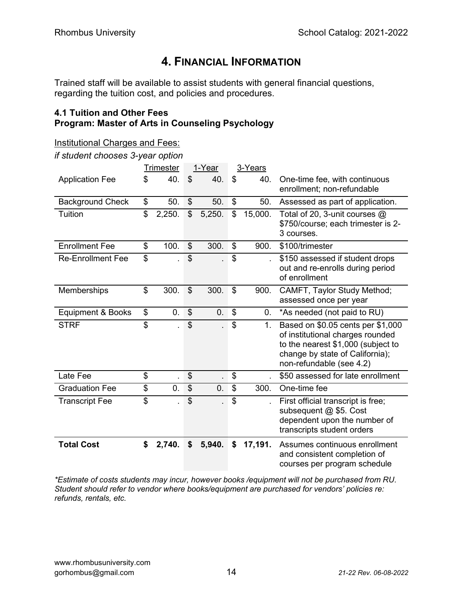## 4. FINANCIAL INFORMATION

Trained staff will be available to assist students with general financial questions, regarding the tuition cost, and policies and procedures.

#### 4.1 Tuition and Other Fees Program: Master of Arts in Counseling Psychology

if student chooses 3-year option

|                              | <b>Trimester</b> | 1-Year               | 3-Years |              |                                                                                                                                                                            |
|------------------------------|------------------|----------------------|---------|--------------|----------------------------------------------------------------------------------------------------------------------------------------------------------------------------|
| <b>Application Fee</b>       | \$<br>40.        | \$<br>40.            | \$      | 40.          | One-time fee, with continuous<br>enrollment; non-refundable                                                                                                                |
| <b>Background Check</b>      | \$<br>50.        | \$<br>50.            | \$      | 50.          | Assessed as part of application.                                                                                                                                           |
| Tuition                      | \$<br>2,250.     | \$<br>5,250.         | \$      | 15,000.      | Total of 20, 3-unit courses @<br>\$750/course; each trimester is 2-<br>3 courses.                                                                                          |
| <b>Enrollment Fee</b>        | \$<br>100.       | \$<br>300.           | \$      | 900.         | \$100/trimester                                                                                                                                                            |
| <b>Re-Enrollment Fee</b>     | \$               | \$                   | \$      |              | \$150 assessed if student drops<br>out and re-enrolls during period<br>of enrollment                                                                                       |
| Memberships                  | \$<br>300.       | \$<br>300.           | \$      | 900.         | CAMFT, Taylor Study Method;<br>assessed once per year                                                                                                                      |
| <b>Equipment &amp; Books</b> | \$<br>0.         | \$<br>0.             | \$      | 0.           | *As needed (not paid to RU)                                                                                                                                                |
| <b>STRF</b>                  | \$               | \$                   | \$      | 1.           | Based on \$0.05 cents per \$1,000<br>of institutional charges rounded<br>to the nearest \$1,000 (subject to<br>change by state of California);<br>non-refundable (see 4.2) |
| Late Fee                     | \$               | \$                   | \$      |              | \$50 assessed for late enrollment                                                                                                                                          |
| <b>Graduation Fee</b>        | \$<br>0.         | \$<br>$\mathbf{0}$ . | \$      | 300.         | One-time fee                                                                                                                                                               |
| Transcript Fee               | \$               | \$                   | \$      | $\mathbf{r}$ | First official transcript is free;<br>subsequent @ \$5. Cost<br>dependent upon the number of<br>transcripts student orders                                                 |
| <b>Total Cost</b>            | \$<br>2,740.     | \$<br>5,940.         | \$      | 17,191.      | Assumes continuous enrollment<br>and consistent completion of<br>courses per program schedule                                                                              |

\*Estimate of costs students may incur, however books /equipment will not be purchased from RU. Student should refer to vendor where books/equipment are purchased for vendors' policies re: refunds, rentals, etc.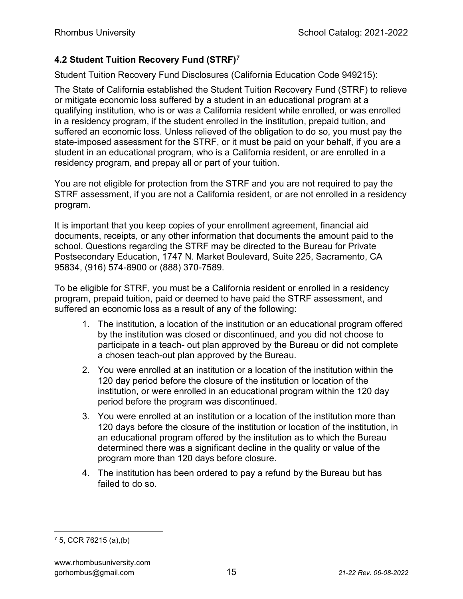#### 4.2 Student Tuition Recovery Fund (STRF)<sup>7</sup>

Student Tuition Recovery Fund Disclosures (California Education Code 949215):

The State of California established the Student Tuition Recovery Fund (STRF) to relieve or mitigate economic loss suffered by a student in an educational program at a qualifying institution, who is or was a California resident while enrolled, or was enrolled in a residency program, if the student enrolled in the institution, prepaid tuition, and suffered an economic loss. Unless relieved of the obligation to do so, you must pay the state-imposed assessment for the STRF, or it must be paid on your behalf, if you are a student in an educational program, who is a California resident, or are enrolled in a residency program, and prepay all or part of your tuition.

You are not eligible for protection from the STRF and you are not required to pay the STRF assessment, if you are not a California resident, or are not enrolled in a residency program.

It is important that you keep copies of your enrollment agreement, financial aid documents, receipts, or any other information that documents the amount paid to the school. Questions regarding the STRF may be directed to the Bureau for Private Postsecondary Education, 1747 N. Market Boulevard, Suite 225, Sacramento, CA 95834, (916) 574-8900 or (888) 370-7589.

To be eligible for STRF, you must be a California resident or enrolled in a residency program, prepaid tuition, paid or deemed to have paid the STRF assessment, and suffered an economic loss as a result of any of the following:

- 1. The institution, a location of the institution or an educational program offered by the institution was closed or discontinued, and you did not choose to participate in a teach- out plan approved by the Bureau or did not complete a chosen teach-out plan approved by the Bureau.
- 2. You were enrolled at an institution or a location of the institution within the 120 day period before the closure of the institution or location of the institution, or were enrolled in an educational program within the 120 day period before the program was discontinued.
- 3. You were enrolled at an institution or a location of the institution more than 120 days before the closure of the institution or location of the institution, in an educational program offered by the institution as to which the Bureau determined there was a significant decline in the quality or value of the program more than 120 days before closure.
- 4. The institution has been ordered to pay a refund by the Bureau but has failed to do so.

<sup>7</sup> 5, CCR 76215 (a),(b)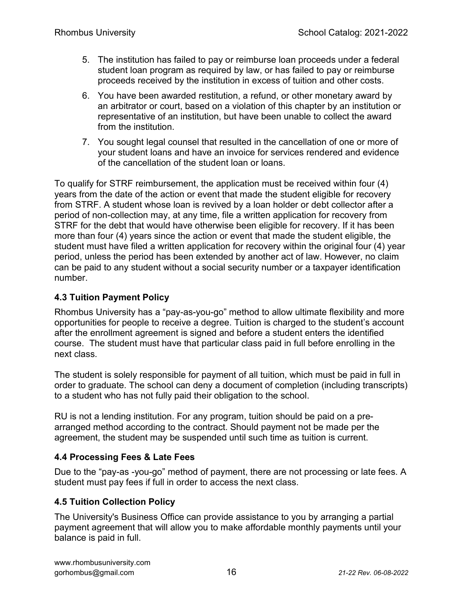- 5. The institution has failed to pay or reimburse loan proceeds under a federal student loan program as required by law, or has failed to pay or reimburse proceeds received by the institution in excess of tuition and other costs.
- 6. You have been awarded restitution, a refund, or other monetary award by an arbitrator or court, based on a violation of this chapter by an institution or representative of an institution, but have been unable to collect the award from the institution.
- 7. You sought legal counsel that resulted in the cancellation of one or more of your student loans and have an invoice for services rendered and evidence of the cancellation of the student loan or loans.

To qualify for STRF reimbursement, the application must be received within four (4) years from the date of the action or event that made the student eligible for recovery from STRF. A student whose loan is revived by a loan holder or debt collector after a period of non-collection may, at any time, file a written application for recovery from STRF for the debt that would have otherwise been eligible for recovery. If it has been more than four (4) years since the action or event that made the student eligible, the student must have filed a written application for recovery within the original four (4) year period, unless the period has been extended by another act of law. However, no claim can be paid to any student without a social security number or a taxpayer identification number.

#### 4.3 Tuition Payment Policy

Rhombus University has a "pay-as-you-go" method to allow ultimate flexibility and more opportunities for people to receive a degree. Tuition is charged to the student's account after the enrollment agreement is signed and before a student enters the identified course. The student must have that particular class paid in full before enrolling in the next class.

The student is solely responsible for payment of all tuition, which must be paid in full in order to graduate. The school can deny a document of completion (including transcripts) to a student who has not fully paid their obligation to the school.

RU is not a lending institution. For any program, tuition should be paid on a prearranged method according to the contract. Should payment not be made per the agreement, the student may be suspended until such time as tuition is current.

#### 4.4 Processing Fees & Late Fees

Due to the "pay-as -you-go" method of payment, there are not processing or late fees. A student must pay fees if full in order to access the next class.

#### 4.5 Tuition Collection Policy

The University's Business Office can provide assistance to you by arranging a partial payment agreement that will allow you to make affordable monthly payments until your balance is paid in full.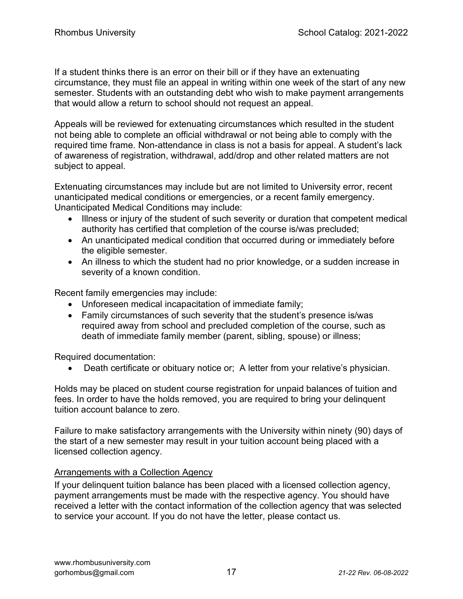If a student thinks there is an error on their bill or if they have an extenuating circumstance, they must file an appeal in writing within one week of the start of any new semester. Students with an outstanding debt who wish to make payment arrangements that would allow a return to school should not request an appeal.

Appeals will be reviewed for extenuating circumstances which resulted in the student not being able to complete an official withdrawal or not being able to comply with the required time frame. Non-attendance in class is not a basis for appeal. A student's lack of awareness of registration, withdrawal, add/drop and other related matters are not subject to appeal.

Extenuating circumstances may include but are not limited to University error, recent unanticipated medical conditions or emergencies, or a recent family emergency. Unanticipated Medical Conditions may include:

- Illness or injury of the student of such severity or duration that competent medical authority has certified that completion of the course is/was precluded;
- An unanticipated medical condition that occurred during or immediately before the eligible semester.
- An illness to which the student had no prior knowledge, or a sudden increase in severity of a known condition.

Recent family emergencies may include:

- Unforeseen medical incapacitation of immediate family;
- Family circumstances of such severity that the student's presence is/was required away from school and precluded completion of the course, such as death of immediate family member (parent, sibling, spouse) or illness;

Required documentation:

Death certificate or obituary notice or; A letter from your relative's physician.

Holds may be placed on student course registration for unpaid balances of tuition and fees. In order to have the holds removed, you are required to bring your delinquent tuition account balance to zero.

Failure to make satisfactory arrangements with the University within ninety (90) days of the start of a new semester may result in your tuition account being placed with a licensed collection agency.

#### Arrangements with a Collection Agency

If your delinquent tuition balance has been placed with a licensed collection agency, payment arrangements must be made with the respective agency. You should have received a letter with the contact information of the collection agency that was selected to service your account. If you do not have the letter, please contact us.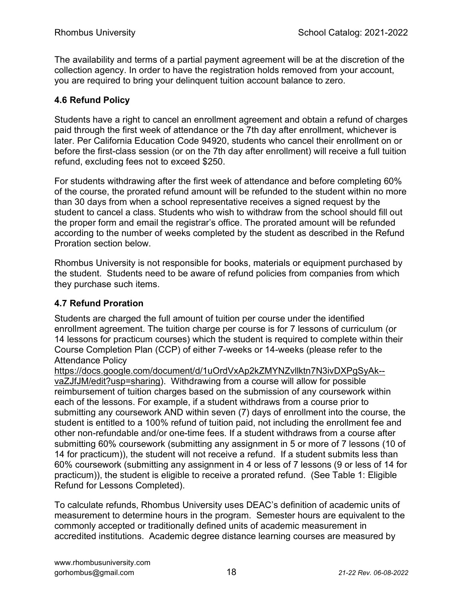The availability and terms of a partial payment agreement will be at the discretion of the collection agency. In order to have the registration holds removed from your account, you are required to bring your delinquent tuition account balance to zero.

#### 4.6 Refund Policy

Students have a right to cancel an enrollment agreement and obtain a refund of charges paid through the first week of attendance or the 7th day after enrollment, whichever is later. Per California Education Code 94920, students who cancel their enrollment on or before the first-class session (or on the 7th day after enrollment) will receive a full tuition refund, excluding fees not to exceed \$250.

For students withdrawing after the first week of attendance and before completing 60% of the course, the prorated refund amount will be refunded to the student within no more than 30 days from when a school representative receives a signed request by the student to cancel a class. Students who wish to withdraw from the school should fill out the proper form and email the registrar's office. The prorated amount will be refunded according to the number of weeks completed by the student as described in the Refund Proration section below.

Rhombus University is not responsible for books, materials or equipment purchased by the student. Students need to be aware of refund policies from companies from which they purchase such items.

#### 4.7 Refund Proration

Students are charged the full amount of tuition per course under the identified enrollment agreement. The tuition charge per course is for 7 lessons of curriculum (or 14 lessons for practicum courses) which the student is required to complete within their Course Completion Plan (CCP) of either 7-weeks or 14-weeks (please refer to the Attendance Policy

https://docs.google.com/document/d/1uOrdVxAp2kZMYNZvllktn7N3ivDXPgSyAk- vaZJfJM/edit?usp=sharing). Withdrawing from a course will allow for possible reimbursement of tuition charges based on the submission of any coursework within each of the lessons. For example, if a student withdraws from a course prior to submitting any coursework AND within seven (7) days of enrollment into the course, the student is entitled to a 100% refund of tuition paid, not including the enrollment fee and other non-refundable and/or one-time fees. If a student withdraws from a course after submitting 60% coursework (submitting any assignment in 5 or more of 7 lessons (10 of 14 for practicum)), the student will not receive a refund. If a student submits less than 60% coursework (submitting any assignment in 4 or less of 7 lessons (9 or less of 14 for practicum)), the student is eligible to receive a prorated refund. (See Table 1: Eligible Refund for Lessons Completed).

To calculate refunds, Rhombus University uses DEAC's definition of academic units of measurement to determine hours in the program. Semester hours are equivalent to the commonly accepted or traditionally defined units of academic measurement in accredited institutions. Academic degree distance learning courses are measured by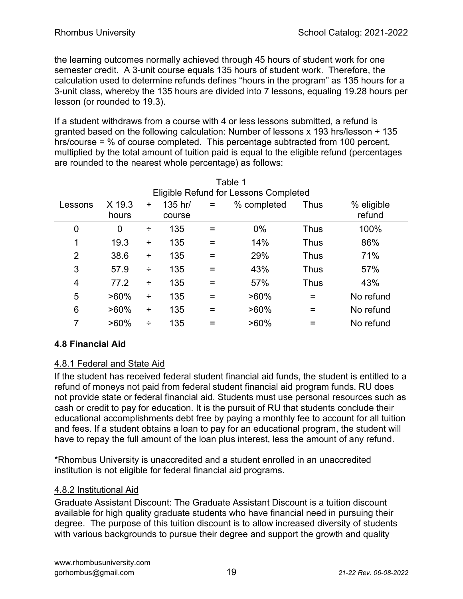the learning outcomes normally achieved through 45 hours of student work for one semester credit. A 3-unit course equals 135 hours of student work. Therefore, the calculation used to determine refunds defines "hours in the program" as 135 hours for a 3-unit class, whereby the 135 hours are divided into 7 lessons, equaling 19.28 hours per lesson (or rounded to 19.3).

If a student withdraws from a course with 4 or less lessons submitted, a refund is granted based on the following calculation: Number of lessons x 193 hrs/lesson ÷ 135 hrs/course = % of course completed. This percentage subtracted from 100 percent, multiplied by the total amount of tuition paid is equal to the eligible refund (percentages are rounded to the nearest whole percentage) as follows:

| Table 1        |                                       |   |                   |          |             |      |                      |  |  |  |  |
|----------------|---------------------------------------|---|-------------------|----------|-------------|------|----------------------|--|--|--|--|
|                | Eligible Refund for Lessons Completed |   |                   |          |             |      |                      |  |  |  |  |
| Lessons        | X 19.3<br>hours                       | ÷ | 135 hr/<br>course | $=$      | % completed | Thus | % eligible<br>refund |  |  |  |  |
| 0              | 0                                     | ÷ | 135               | =        | $0\%$       | Thus | 100%                 |  |  |  |  |
| 1              | 19.3                                  | ÷ | 135               | =        | 14%         | Thus | 86%                  |  |  |  |  |
| $\overline{2}$ | 38.6                                  | ÷ | 135               | $\equiv$ | 29%         | Thus | 71%                  |  |  |  |  |
| 3              | 57.9                                  | ÷ | 135               | =        | 43%         | Thus | 57%                  |  |  |  |  |
| 4              | 77.2                                  | ÷ | 135               | Ξ        | 57%         | Thus | 43%                  |  |  |  |  |
| 5              | $>60\%$                               | ÷ | 135               | =        | $>60\%$     | =    | No refund            |  |  |  |  |
| 6              | $>60\%$                               | ÷ | 135               | =        | $>60\%$     | =    | No refund            |  |  |  |  |
| 7              | $>60\%$                               | ÷ | 135               |          | $>60\%$     |      | No refund            |  |  |  |  |

#### 4.8 Financial Aid

#### 4.8.1 Federal and State Aid

If the student has received federal student financial aid funds, the student is entitled to a refund of moneys not paid from federal student financial aid program funds. RU does not provide state or federal financial aid. Students must use personal resources such as cash or credit to pay for education. It is the pursuit of RU that students conclude their educational accomplishments debt free by paying a monthly fee to account for all tuition and fees. If a student obtains a loan to pay for an educational program, the student will have to repay the full amount of the loan plus interest, less the amount of any refund.

\*Rhombus University is unaccredited and a student enrolled in an unaccredited institution is not eligible for federal financial aid programs.

#### 4.8.2 Institutional Aid

Graduate Assistant Discount: The Graduate Assistant Discount is a tuition discount available for high quality graduate students who have financial need in pursuing their degree. The purpose of this tuition discount is to allow increased diversity of students with various backgrounds to pursue their degree and support the growth and quality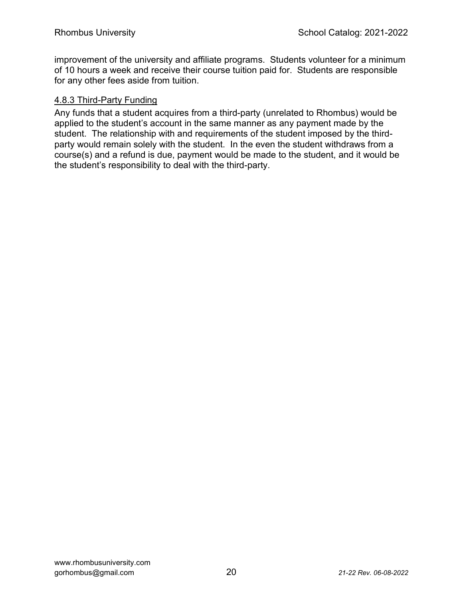improvement of the university and affiliate programs. Students volunteer for a minimum of 10 hours a week and receive their course tuition paid for. Students are responsible for any other fees aside from tuition.

#### 4.8.3 Third-Party Funding

Any funds that a student acquires from a third-party (unrelated to Rhombus) would be applied to the student's account in the same manner as any payment made by the student. The relationship with and requirements of the student imposed by the thirdparty would remain solely with the student. In the even the student withdraws from a course(s) and a refund is due, payment would be made to the student, and it would be the student's responsibility to deal with the third-party.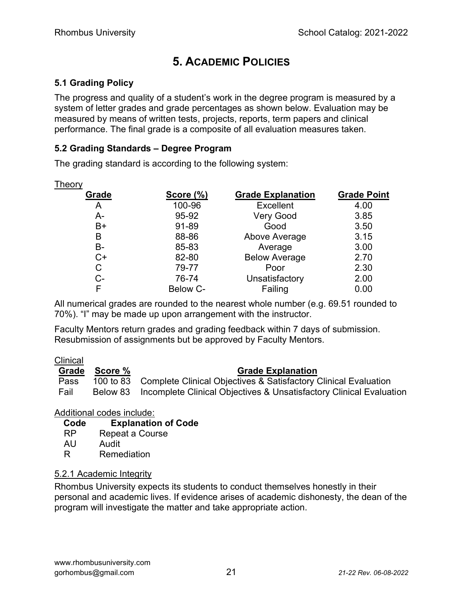## 5. ACADEMIC POLICIES

#### 5.1 Grading Policy

The progress and quality of a student's work in the degree program is measured by a system of letter grades and grade percentages as shown below. Evaluation may be measured by means of written tests, projects, reports, term papers and clinical performance. The final grade is a composite of all evaluation measures taken.

#### 5.2 Grading Standards – Degree Program

The grading standard is according to the following system:

| Theory |           |                          |                    |
|--------|-----------|--------------------------|--------------------|
| Grade  | Score (%) | <b>Grade Explanation</b> | <b>Grade Point</b> |
| A      | 100-96    | Excellent                | 4.00               |
| А-     | 95-92     | <b>Very Good</b>         | 3.85               |
| $B+$   | 91-89     | Good                     | 3.50               |
| B      | 88-86     | Above Average            | 3.15               |
| B-     | 85-83     | Average                  | 3.00               |
| $C+$   | 82-80     | <b>Below Average</b>     | 2.70               |
| С      | 79-77     | Poor                     | 2.30               |
| C-     | 76-74     | Unsatisfactory           | 2.00               |
|        | Below C-  | Failing                  | 0.00               |

All numerical grades are rounded to the nearest whole number (e.g. 69.51 rounded to 70%). "I" may be made up upon arrangement with the instructor.

Faculty Mentors return grades and grading feedback within 7 days of submission. Resubmission of assignments but be approved by Faculty Mentors.

#### Clinical

Grade Score % Grade Explanation Pass 100 to 83 Complete Clinical Objectives & Satisfactory Clinical Evaluation Fail Below 83 Incomplete Clinical Objectives & Unsatisfactory Clinical Evaluation

Additional codes include:

| Code      | <b>Explanation of Code</b> |
|-----------|----------------------------|
| <b>RP</b> | Repeat a Course            |
| AU        | Audit                      |
| R         | Remediation                |

#### 5.2.1 Academic Integrity

Rhombus University expects its students to conduct themselves honestly in their personal and academic lives. If evidence arises of academic dishonesty, the dean of the program will investigate the matter and take appropriate action.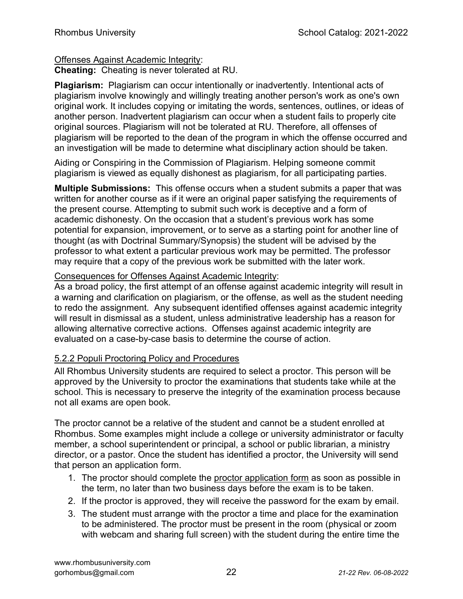#### Offenses Against Academic Integrity:

Cheating: Cheating is never tolerated at RU.

Plagiarism: Plagiarism can occur intentionally or inadvertently. Intentional acts of plagiarism involve knowingly and willingly treating another person's work as one's own original work. It includes copying or imitating the words, sentences, outlines, or ideas of another person. Inadvertent plagiarism can occur when a student fails to properly cite original sources. Plagiarism will not be tolerated at RU. Therefore, all offenses of plagiarism will be reported to the dean of the program in which the offense occurred and an investigation will be made to determine what disciplinary action should be taken.

Aiding or Conspiring in the Commission of Plagiarism. Helping someone commit plagiarism is viewed as equally dishonest as plagiarism, for all participating parties.

Multiple Submissions: This offense occurs when a student submits a paper that was written for another course as if it were an original paper satisfying the requirements of the present course. Attempting to submit such work is deceptive and a form of academic dishonesty. On the occasion that a student's previous work has some potential for expansion, improvement, or to serve as a starting point for another line of thought (as with Doctrinal Summary/Synopsis) the student will be advised by the professor to what extent a particular previous work may be permitted. The professor may require that a copy of the previous work be submitted with the later work.

#### Consequences for Offenses Against Academic Integrity:

As a broad policy, the first attempt of an offense against academic integrity will result in a warning and clarification on plagiarism, or the offense, as well as the student needing to redo the assignment. Any subsequent identified offenses against academic integrity will result in dismissal as a student, unless administrative leadership has a reason for allowing alternative corrective actions. Offenses against academic integrity are evaluated on a case-by-case basis to determine the course of action.

#### 5.2.2 Populi Proctoring Policy and Procedures

All Rhombus University students are required to select a proctor. This person will be approved by the University to proctor the examinations that students take while at the school. This is necessary to preserve the integrity of the examination process because not all exams are open book.

The proctor cannot be a relative of the student and cannot be a student enrolled at Rhombus. Some examples might include a college or university administrator or faculty member, a school superintendent or principal, a school or public librarian, a ministry director, or a pastor. Once the student has identified a proctor, the University will send that person an application form.

- 1. The proctor should complete the proctor application form as soon as possible in the term, no later than two business days before the exam is to be taken.
- 2. If the proctor is approved, they will receive the password for the exam by email.
- 3. The student must arrange with the proctor a time and place for the examination to be administered. The proctor must be present in the room (physical or zoom with webcam and sharing full screen) with the student during the entire time the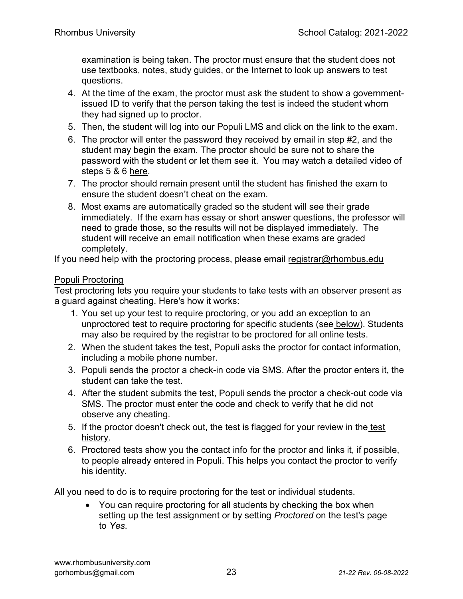examination is being taken. The proctor must ensure that the student does not use textbooks, notes, study guides, or the Internet to look up answers to test questions.

- 4. At the time of the exam, the proctor must ask the student to show a governmentissued ID to verify that the person taking the test is indeed the student whom they had signed up to proctor.
- 5. Then, the student will log into our Populi LMS and click on the link to the exam.
- 6. The proctor will enter the password they received by email in step #2, and the student may begin the exam. The proctor should be sure not to share the password with the student or let them see it. You may watch a detailed video of steps 5 & 6 here.
- 7. The proctor should remain present until the student has finished the exam to ensure the student doesn't cheat on the exam.
- 8. Most exams are automatically graded so the student will see their grade immediately. If the exam has essay or short answer questions, the professor will need to grade those, so the results will not be displayed immediately. The student will receive an email notification when these exams are graded completely.

If you need help with the proctoring process, please email registrar@rhombus.edu

#### Populi Proctoring

Test proctoring lets you require your students to take tests with an observer present as a guard against cheating. Here's how it works:

- 1. You set up your test to require proctoring, or you add an exception to an unproctored test to require proctoring for specific students (see below). Students may also be required by the registrar to be proctored for all online tests.
- 2. When the student takes the test, Populi asks the proctor for contact information, including a mobile phone number.
- 3. Populi sends the proctor a check-in code via SMS. After the proctor enters it, the student can take the test.
- 4. After the student submits the test, Populi sends the proctor a check-out code via SMS. The proctor must enter the code and check to verify that he did not observe any cheating.
- 5. If the proctor doesn't check out, the test is flagged for your review in the test history.
- 6. Proctored tests show you the contact info for the proctor and links it, if possible, to people already entered in Populi. This helps you contact the proctor to verify his identity.

All you need to do is to require proctoring for the test or individual students.

• You can require proctoring for all students by checking the box when setting up the test assignment or by setting Proctored on the test's page to Yes.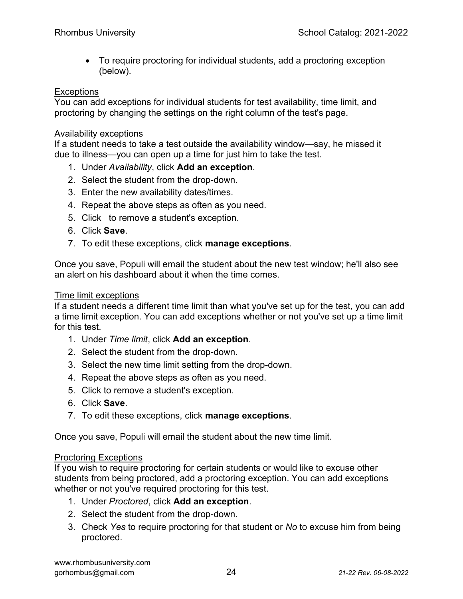To require proctoring for individual students, add a proctoring exception (below).

#### **Exceptions**

You can add exceptions for individual students for test availability, time limit, and proctoring by changing the settings on the right column of the test's page.

#### Availability exceptions

If a student needs to take a test outside the availability window—say, he missed it due to illness—you can open up a time for just him to take the test.

- 1. Under Availability, click Add an exception.
- 2. Select the student from the drop-down.
- 3. Enter the new availability dates/times.
- 4. Repeat the above steps as often as you need.
- 5. Click to remove a student's exception.
- 6. Click Save.
- 7. To edit these exceptions, click manage exceptions.

Once you save, Populi will email the student about the new test window; he'll also see an alert on his dashboard about it when the time comes.

#### Time limit exceptions

If a student needs a different time limit than what you've set up for the test, you can add a time limit exception. You can add exceptions whether or not you've set up a time limit for this test.

- 1. Under Time limit, click Add an exception.
- 2. Select the student from the drop-down.
- 3. Select the new time limit setting from the drop-down.
- 4. Repeat the above steps as often as you need.
- 5. Click to remove a student's exception.
- 6. Click Save.
- 7. To edit these exceptions, click manage exceptions.

Once you save, Populi will email the student about the new time limit.

#### Proctoring Exceptions

If you wish to require proctoring for certain students or would like to excuse other students from being proctored, add a proctoring exception. You can add exceptions whether or not you've required proctoring for this test.

- 1. Under Proctored, click Add an exception.
- 2. Select the student from the drop-down.
- 3. Check Yes to require proctoring for that student or No to excuse him from being proctored.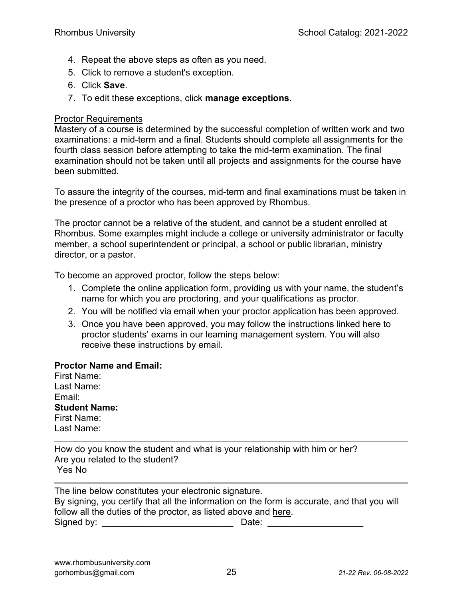- 4. Repeat the above steps as often as you need.
- 5. Click to remove a student's exception.
- 6. Click Save.
- 7. To edit these exceptions, click manage exceptions.

#### Proctor Requirements

Mastery of a course is determined by the successful completion of written work and two examinations: a mid-term and a final. Students should complete all assignments for the fourth class session before attempting to take the mid-term examination. The final examination should not be taken until all projects and assignments for the course have been submitted.

To assure the integrity of the courses, mid-term and final examinations must be taken in the presence of a proctor who has been approved by Rhombus.

The proctor cannot be a relative of the student, and cannot be a student enrolled at Rhombus. Some examples might include a college or university administrator or faculty member, a school superintendent or principal, a school or public librarian, ministry director, or a pastor.

To become an approved proctor, follow the steps below:

- 1. Complete the online application form, providing us with your name, the student's name for which you are proctoring, and your qualifications as proctor.
- 2. You will be notified via email when your proctor application has been approved.
- 3. Once you have been approved, you may follow the instructions linked here to proctor students' exams in our learning management system. You will also receive these instructions by email.

#### Proctor Name and Email:

First Name: Last Name: Email: Student Name: First Name: Last Name:

How do you know the student and what is your relationship with him or her? Are you related to the student? Yes No

The line below constitutes your electronic signature. By signing, you certify that all the information on the form is accurate, and that you will follow all the duties of the proctor, as listed above and here. Signed by: \_\_\_\_\_\_\_\_\_\_\_\_\_\_\_\_\_\_\_\_\_\_\_\_\_\_ Date: \_\_\_\_\_\_\_\_\_\_\_\_\_\_\_\_\_\_\_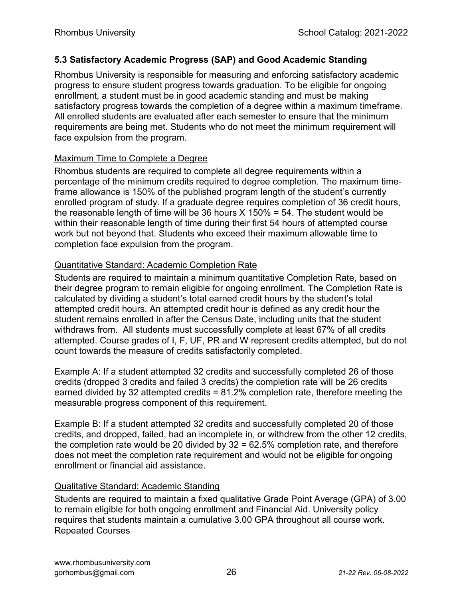#### 5.3 Satisfactory Academic Progress (SAP) and Good Academic Standing

Rhombus University is responsible for measuring and enforcing satisfactory academic progress to ensure student progress towards graduation. To be eligible for ongoing enrollment, a student must be in good academic standing and must be making satisfactory progress towards the completion of a degree within a maximum timeframe. All enrolled students are evaluated after each semester to ensure that the minimum requirements are being met. Students who do not meet the minimum requirement will face expulsion from the program.

#### Maximum Time to Complete a Degree

Rhombus students are required to complete all degree requirements within a percentage of the minimum credits required to degree completion. The maximum timeframe allowance is 150% of the published program length of the student's currently enrolled program of study. If a graduate degree requires completion of 36 credit hours, the reasonable length of time will be 36 hours  $X$  150% = 54. The student would be within their reasonable length of time during their first 54 hours of attempted course work but not beyond that. Students who exceed their maximum allowable time to completion face expulsion from the program.

#### Quantitative Standard: Academic Completion Rate

Students are required to maintain a minimum quantitative Completion Rate, based on their degree program to remain eligible for ongoing enrollment. The Completion Rate is calculated by dividing a student's total earned credit hours by the student's total attempted credit hours. An attempted credit hour is defined as any credit hour the student remains enrolled in after the Census Date, including units that the student withdraws from. All students must successfully complete at least 67% of all credits attempted. Course grades of I, F, UF, PR and W represent credits attempted, but do not count towards the measure of credits satisfactorily completed.

Example A: If a student attempted 32 credits and successfully completed 26 of those credits (dropped 3 credits and failed 3 credits) the completion rate will be 26 credits earned divided by 32 attempted credits = 81.2% completion rate, therefore meeting the measurable progress component of this requirement.

Example B: If a student attempted 32 credits and successfully completed 20 of those credits, and dropped, failed, had an incomplete in, or withdrew from the other 12 credits, the completion rate would be 20 divided by 32 = 62.5% completion rate, and therefore does not meet the completion rate requirement and would not be eligible for ongoing enrollment or financial aid assistance.

#### Qualitative Standard: Academic Standing

Students are required to maintain a fixed qualitative Grade Point Average (GPA) of 3.00 to remain eligible for both ongoing enrollment and Financial Aid. University policy requires that students maintain a cumulative 3.00 GPA throughout all course work. Repeated Courses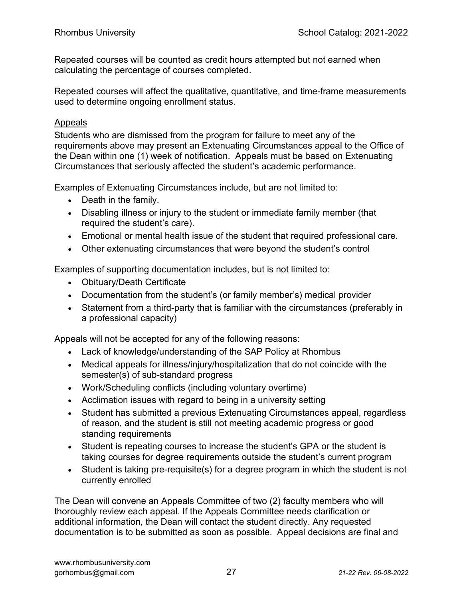Repeated courses will be counted as credit hours attempted but not earned when calculating the percentage of courses completed.

Repeated courses will affect the qualitative, quantitative, and time-frame measurements used to determine ongoing enrollment status.

#### Appeals

Students who are dismissed from the program for failure to meet any of the requirements above may present an Extenuating Circumstances appeal to the Office of the Dean within one (1) week of notification. Appeals must be based on Extenuating Circumstances that seriously affected the student's academic performance.

Examples of Extenuating Circumstances include, but are not limited to:

- Death in the family.
- Disabling illness or injury to the student or immediate family member (that required the student's care).
- Emotional or mental health issue of the student that required professional care.
- Other extenuating circumstances that were beyond the student's control

Examples of supporting documentation includes, but is not limited to:

- Obituary/Death Certificate
- Documentation from the student's (or family member's) medical provider
- Statement from a third-party that is familiar with the circumstances (preferably in a professional capacity)

Appeals will not be accepted for any of the following reasons:

- Lack of knowledge/understanding of the SAP Policy at Rhombus
- Medical appeals for illness/injury/hospitalization that do not coincide with the semester(s) of sub-standard progress
- Work/Scheduling conflicts (including voluntary overtime)
- Acclimation issues with regard to being in a university setting
- Student has submitted a previous Extenuating Circumstances appeal, regardless of reason, and the student is still not meeting academic progress or good standing requirements
- Student is repeating courses to increase the student's GPA or the student is taking courses for degree requirements outside the student's current program
- Student is taking pre-requisite(s) for a degree program in which the student is not currently enrolled

The Dean will convene an Appeals Committee of two (2) faculty members who will thoroughly review each appeal. If the Appeals Committee needs clarification or additional information, the Dean will contact the student directly. Any requested documentation is to be submitted as soon as possible. Appeal decisions are final and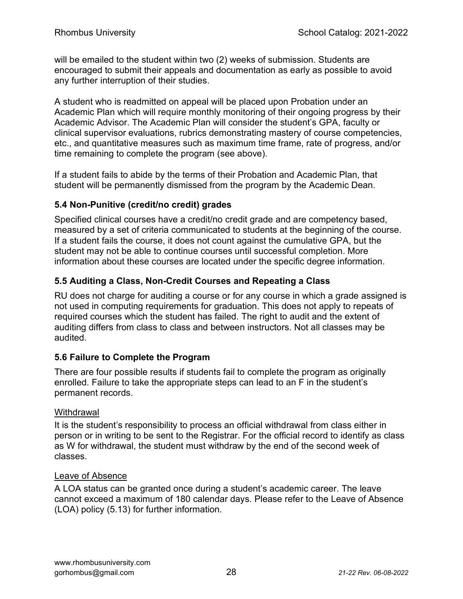will be emailed to the student within two (2) weeks of submission. Students are encouraged to submit their appeals and documentation as early as possible to avoid any further interruption of their studies.

A student who is readmitted on appeal will be placed upon Probation under an Academic Plan which will require monthly monitoring of their ongoing progress by their Academic Advisor. The Academic Plan will consider the student's GPA, faculty or clinical supervisor evaluations, rubrics demonstrating mastery of course competencies, etc., and quantitative measures such as maximum time frame, rate of progress, and/or time remaining to complete the program (see above).

If a student fails to abide by the terms of their Probation and Academic Plan, that student will be permanently dismissed from the program by the Academic Dean.

#### 5.4 Non-Punitive (credit/no credit) grades

Specified clinical courses have a credit/no credit grade and are competency based, measured by a set of criteria communicated to students at the beginning of the course. If a student fails the course, it does not count against the cumulative GPA, but the student may not be able to continue courses until successful completion. More information about these courses are located under the specific degree information.

#### 5.5 Auditing a Class, Non-Credit Courses and Repeating a Class

RU does not charge for auditing a course or for any course in which a grade assigned is not used in computing requirements for graduation. This does not apply to repeats of required courses which the student has failed. The right to audit and the extent of auditing differs from class to class and between instructors. Not all classes may be audited.

#### 5.6 Failure to Complete the Program

There are four possible results if students fail to complete the program as originally enrolled. Failure to take the appropriate steps can lead to an F in the student's permanent records.

#### **Withdrawal**

It is the student's responsibility to process an official withdrawal from class either in person or in writing to be sent to the Registrar. For the official record to identify as class as W for withdrawal, the student must withdraw by the end of the second week of classes.

#### Leave of Absence

A LOA status can be granted once during a student's academic career. The leave cannot exceed a maximum of 180 calendar days. Please refer to the Leave of Absence (LOA) policy (5.13) for further information.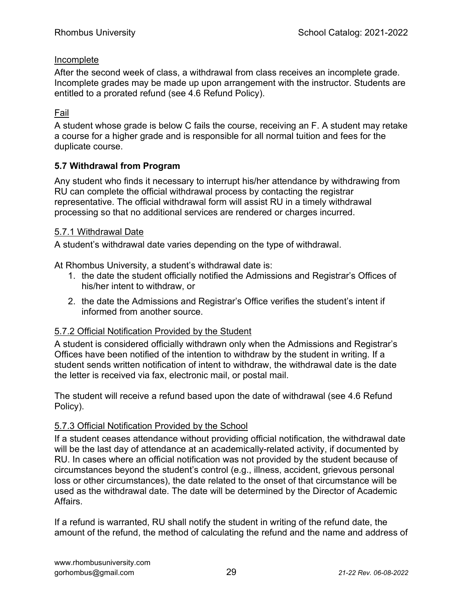#### Incomplete

After the second week of class, a withdrawal from class receives an incomplete grade. Incomplete grades may be made up upon arrangement with the instructor. Students are entitled to a prorated refund (see 4.6 Refund Policy).

#### Fail

A student whose grade is below C fails the course, receiving an F. A student may retake a course for a higher grade and is responsible for all normal tuition and fees for the duplicate course.

#### 5.7 Withdrawal from Program

Any student who finds it necessary to interrupt his/her attendance by withdrawing from RU can complete the official withdrawal process by contacting the registrar representative. The official withdrawal form will assist RU in a timely withdrawal processing so that no additional services are rendered or charges incurred.

#### 5.7.1 Withdrawal Date

A student's withdrawal date varies depending on the type of withdrawal.

At Rhombus University, a student's withdrawal date is:

- 1. the date the student officially notified the Admissions and Registrar's Offices of his/her intent to withdraw, or
- 2. the date the Admissions and Registrar's Office verifies the student's intent if informed from another source.

#### 5.7.2 Official Notification Provided by the Student

A student is considered officially withdrawn only when the Admissions and Registrar's Offices have been notified of the intention to withdraw by the student in writing. If a student sends written notification of intent to withdraw, the withdrawal date is the date the letter is received via fax, electronic mail, or postal mail.

The student will receive a refund based upon the date of withdrawal (see 4.6 Refund Policy).

#### 5.7.3 Official Notification Provided by the School

If a student ceases attendance without providing official notification, the withdrawal date will be the last day of attendance at an academically-related activity, if documented by RU. In cases where an official notification was not provided by the student because of circumstances beyond the student's control (e.g., illness, accident, grievous personal loss or other circumstances), the date related to the onset of that circumstance will be used as the withdrawal date. The date will be determined by the Director of Academic Affairs.

If a refund is warranted, RU shall notify the student in writing of the refund date, the amount of the refund, the method of calculating the refund and the name and address of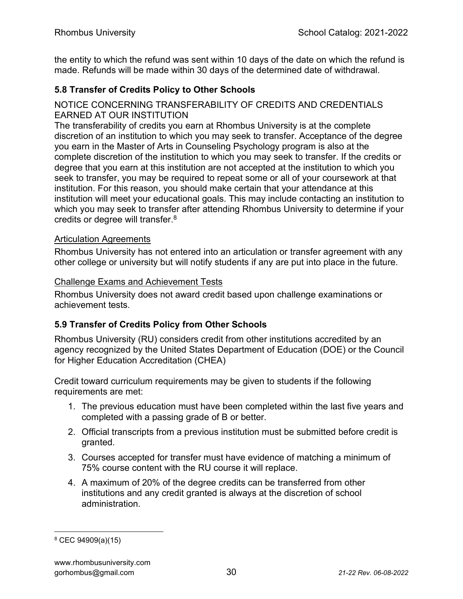the entity to which the refund was sent within 10 days of the date on which the refund is made. Refunds will be made within 30 days of the determined date of withdrawal.

#### 5.8 Transfer of Credits Policy to Other Schools

#### NOTICE CONCERNING TRANSFERABILITY OF CREDITS AND CREDENTIALS EARNED AT OUR INSTITUTION

The transferability of credits you earn at Rhombus University is at the complete discretion of an institution to which you may seek to transfer. Acceptance of the degree you earn in the Master of Arts in Counseling Psychology program is also at the complete discretion of the institution to which you may seek to transfer. If the credits or degree that you earn at this institution are not accepted at the institution to which you seek to transfer, you may be required to repeat some or all of your coursework at that institution. For this reason, you should make certain that your attendance at this institution will meet your educational goals. This may include contacting an institution to which you may seek to transfer after attending Rhombus University to determine if your credits or degree will transfer.<sup>8</sup>

#### Articulation Agreements

Rhombus University has not entered into an articulation or transfer agreement with any other college or university but will notify students if any are put into place in the future.

#### Challenge Exams and Achievement Tests

Rhombus University does not award credit based upon challenge examinations or achievement tests.

#### 5.9 Transfer of Credits Policy from Other Schools

Rhombus University (RU) considers credit from other institutions accredited by an agency recognized by the United States Department of Education (DOE) or the Council for Higher Education Accreditation (CHEA)

Credit toward curriculum requirements may be given to students if the following requirements are met:

- 1. The previous education must have been completed within the last five years and completed with a passing grade of B or better.
- 2. Official transcripts from a previous institution must be submitted before credit is granted.
- 3. Courses accepted for transfer must have evidence of matching a minimum of 75% course content with the RU course it will replace.
- 4. A maximum of 20% of the degree credits can be transferred from other institutions and any credit granted is always at the discretion of school administration.

<sup>8</sup> CEC 94909(a)(15)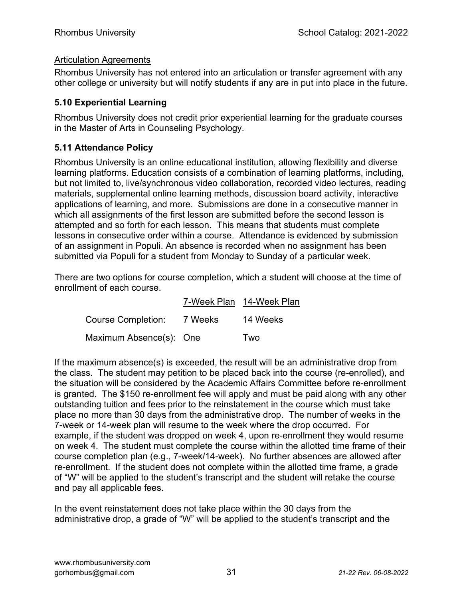#### Articulation Agreements

Rhombus University has not entered into an articulation or transfer agreement with any other college or university but will notify students if any are in put into place in the future.

#### 5.10 Experiential Learning

Rhombus University does not credit prior experiential learning for the graduate courses in the Master of Arts in Counseling Psychology.

#### 5.11 Attendance Policy

Rhombus University is an online educational institution, allowing flexibility and diverse learning platforms. Education consists of a combination of learning platforms, including, but not limited to, live/synchronous video collaboration, recorded video lectures, reading materials, supplemental online learning methods, discussion board activity, interactive applications of learning, and more. Submissions are done in a consecutive manner in which all assignments of the first lesson are submitted before the second lesson is attempted and so forth for each lesson. This means that students must complete lessons in consecutive order within a course. Attendance is evidenced by submission of an assignment in Populi. An absence is recorded when no assignment has been submitted via Populi for a student from Monday to Sunday of a particular week.

There are two options for course completion, which a student will choose at the time of enrollment of each course.

|                           |         | 7-Week Plan 14-Week Plan |
|---------------------------|---------|--------------------------|
| <b>Course Completion:</b> | 7 Weeks | 14 Weeks                 |
| Maximum Absence(s): One   |         | Two                      |

If the maximum absence(s) is exceeded, the result will be an administrative drop from the class. The student may petition to be placed back into the course (re-enrolled), and the situation will be considered by the Academic Affairs Committee before re-enrollment is granted. The \$150 re-enrollment fee will apply and must be paid along with any other outstanding tuition and fees prior to the reinstatement in the course which must take place no more than 30 days from the administrative drop. The number of weeks in the 7-week or 14-week plan will resume to the week where the drop occurred. For example, if the student was dropped on week 4, upon re-enrollment they would resume on week 4. The student must complete the course within the allotted time frame of their course completion plan (e.g., 7-week/14-week). No further absences are allowed after re-enrollment. If the student does not complete within the allotted time frame, a grade of "W" will be applied to the student's transcript and the student will retake the course and pay all applicable fees.

In the event reinstatement does not take place within the 30 days from the administrative drop, a grade of "W" will be applied to the student's transcript and the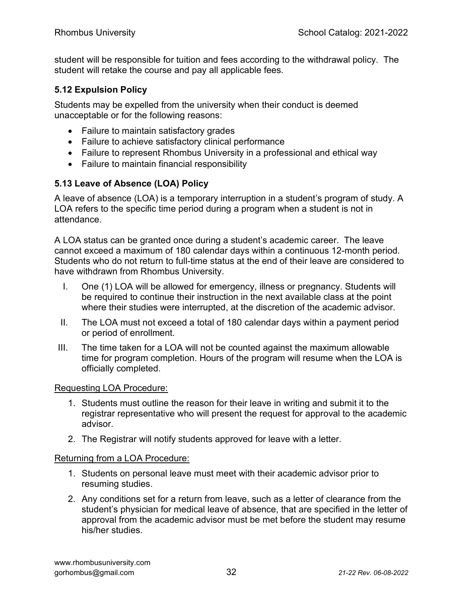student will be responsible for tuition and fees according to the withdrawal policy. The student will retake the course and pay all applicable fees.

#### 5.12 Expulsion Policy

Students may be expelled from the university when their conduct is deemed unacceptable or for the following reasons:

- Failure to maintain satisfactory grades
- Failure to achieve satisfactory clinical performance
- Failure to represent Rhombus University in a professional and ethical way
- Failure to maintain financial responsibility

#### 5.13 Leave of Absence (LOA) Policy

A leave of absence (LOA) is a temporary interruption in a student's program of study. A LOA refers to the specific time period during a program when a student is not in attendance.

A LOA status can be granted once during a student's academic career. The leave cannot exceed a maximum of 180 calendar days within a continuous 12-month period. Students who do not return to full-time status at the end of their leave are considered to have withdrawn from Rhombus University.

- I. One (1) LOA will be allowed for emergency, illness or pregnancy. Students will be required to continue their instruction in the next available class at the point where their studies were interrupted, at the discretion of the academic advisor.
- II. The LOA must not exceed a total of 180 calendar days within a payment period or period of enrollment.
- III. The time taken for a LOA will not be counted against the maximum allowable time for program completion. Hours of the program will resume when the LOA is officially completed.

#### Requesting LOA Procedure:

- 1. Students must outline the reason for their leave in writing and submit it to the registrar representative who will present the request for approval to the academic advisor.
- 2. The Registrar will notify students approved for leave with a letter.

#### Returning from a LOA Procedure:

- 1. Students on personal leave must meet with their academic advisor prior to resuming studies.
- 2. Any conditions set for a return from leave, such as a letter of clearance from the student's physician for medical leave of absence, that are specified in the letter of approval from the academic advisor must be met before the student may resume his/her studies.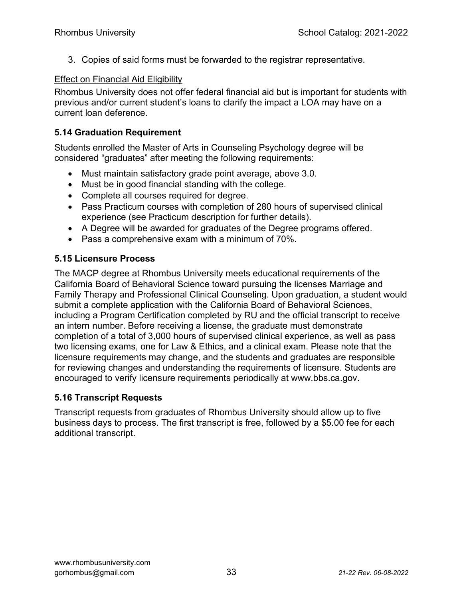3. Copies of said forms must be forwarded to the registrar representative.

#### Effect on Financial Aid Eligibility

Rhombus University does not offer federal financial aid but is important for students with previous and/or current student's loans to clarify the impact a LOA may have on a current loan deference.

#### 5.14 Graduation Requirement

Students enrolled the Master of Arts in Counseling Psychology degree will be considered "graduates" after meeting the following requirements:

- Must maintain satisfactory grade point average, above 3.0.
- Must be in good financial standing with the college.
- Complete all courses required for degree.
- Pass Practicum courses with completion of 280 hours of supervised clinical experience (see Practicum description for further details).
- A Degree will be awarded for graduates of the Degree programs offered.
- Pass a comprehensive exam with a minimum of 70%.

#### 5.15 Licensure Process

The MACP degree at Rhombus University meets educational requirements of the California Board of Behavioral Science toward pursuing the licenses Marriage and Family Therapy and Professional Clinical Counseling. Upon graduation, a student would submit a complete application with the California Board of Behavioral Sciences, including a Program Certification completed by RU and the official transcript to receive an intern number. Before receiving a license, the graduate must demonstrate completion of a total of 3,000 hours of supervised clinical experience, as well as pass two licensing exams, one for Law & Ethics, and a clinical exam. Please note that the licensure requirements may change, and the students and graduates are responsible for reviewing changes and understanding the requirements of licensure. Students are encouraged to verify licensure requirements periodically at www.bbs.ca.gov.

#### 5.16 Transcript Requests

Transcript requests from graduates of Rhombus University should allow up to five business days to process. The first transcript is free, followed by a \$5.00 fee for each additional transcript.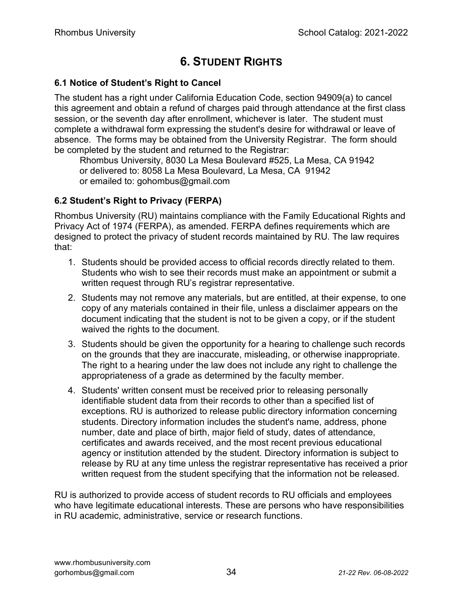## 6. STUDENT RIGHTS

#### 6.1 Notice of Student's Right to Cancel

The student has a right under California Education Code, section 94909(a) to cancel this agreement and obtain a refund of charges paid through attendance at the first class session, or the seventh day after enrollment, whichever is later. The student must complete a withdrawal form expressing the student's desire for withdrawal or leave of absence. The forms may be obtained from the University Registrar. The form should be completed by the student and returned to the Registrar:

 Rhombus University, 8030 La Mesa Boulevard #525, La Mesa, CA 91942 or delivered to: 8058 La Mesa Boulevard, La Mesa, CA 91942 or emailed to: gohombus@gmail.com

#### 6.2 Student's Right to Privacy (FERPA)

Rhombus University (RU) maintains compliance with the Family Educational Rights and Privacy Act of 1974 (FERPA), as amended. FERPA defines requirements which are designed to protect the privacy of student records maintained by RU. The law requires that:

- 1. Students should be provided access to official records directly related to them. Students who wish to see their records must make an appointment or submit a written request through RU's registrar representative.
- 2. Students may not remove any materials, but are entitled, at their expense, to one copy of any materials contained in their file, unless a disclaimer appears on the document indicating that the student is not to be given a copy, or if the student waived the rights to the document.
- 3. Students should be given the opportunity for a hearing to challenge such records on the grounds that they are inaccurate, misleading, or otherwise inappropriate. The right to a hearing under the law does not include any right to challenge the appropriateness of a grade as determined by the faculty member.
- 4. Students' written consent must be received prior to releasing personally identifiable student data from their records to other than a specified list of exceptions. RU is authorized to release public directory information concerning students. Directory information includes the student's name, address, phone number, date and place of birth, major field of study, dates of attendance, certificates and awards received, and the most recent previous educational agency or institution attended by the student. Directory information is subject to release by RU at any time unless the registrar representative has received a prior written request from the student specifying that the information not be released.

RU is authorized to provide access of student records to RU officials and employees who have legitimate educational interests. These are persons who have responsibilities in RU academic, administrative, service or research functions.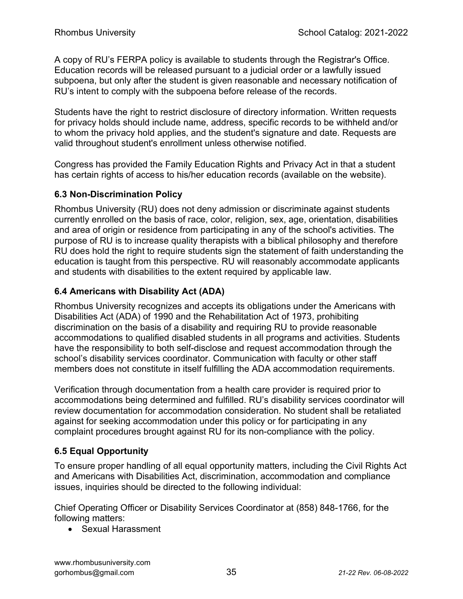A copy of RU's FERPA policy is available to students through the Registrar's Office. Education records will be released pursuant to a judicial order or a lawfully issued subpoena, but only after the student is given reasonable and necessary notification of RU's intent to comply with the subpoena before release of the records.

Students have the right to restrict disclosure of directory information. Written requests for privacy holds should include name, address, specific records to be withheld and/or to whom the privacy hold applies, and the student's signature and date. Requests are valid throughout student's enrollment unless otherwise notified.

Congress has provided the Family Education Rights and Privacy Act in that a student has certain rights of access to his/her education records (available on the website).

#### 6.3 Non-Discrimination Policy

Rhombus University (RU) does not deny admission or discriminate against students currently enrolled on the basis of race, color, religion, sex, age, orientation, disabilities and area of origin or residence from participating in any of the school's activities. The purpose of RU is to increase quality therapists with a biblical philosophy and therefore RU does hold the right to require students sign the statement of faith understanding the education is taught from this perspective. RU will reasonably accommodate applicants and students with disabilities to the extent required by applicable law.

#### 6.4 Americans with Disability Act (ADA)

Rhombus University recognizes and accepts its obligations under the Americans with Disabilities Act (ADA) of 1990 and the Rehabilitation Act of 1973, prohibiting discrimination on the basis of a disability and requiring RU to provide reasonable accommodations to qualified disabled students in all programs and activities. Students have the responsibility to both self-disclose and request accommodation through the school's disability services coordinator. Communication with faculty or other staff members does not constitute in itself fulfilling the ADA accommodation requirements.

Verification through documentation from a health care provider is required prior to accommodations being determined and fulfilled. RU's disability services coordinator will review documentation for accommodation consideration. No student shall be retaliated against for seeking accommodation under this policy or for participating in any complaint procedures brought against RU for its non-compliance with the policy.

#### 6.5 Equal Opportunity

To ensure proper handling of all equal opportunity matters, including the Civil Rights Act and Americans with Disabilities Act, discrimination, accommodation and compliance issues, inquiries should be directed to the following individual:

Chief Operating Officer or Disability Services Coordinator at (858) 848-1766, for the following matters:

• Sexual Harassment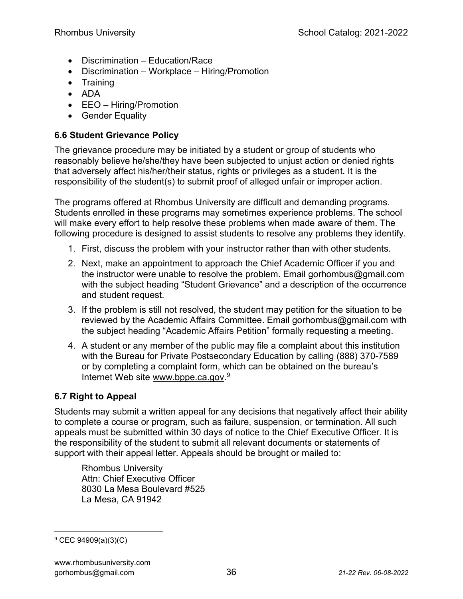- Discrimination Education/Race
- Discrimination Workplace Hiring/Promotion
- Training
- ADA
- EEO Hiring/Promotion
- Gender Equality

#### 6.6 Student Grievance Policy

The grievance procedure may be initiated by a student or group of students who reasonably believe he/she/they have been subjected to unjust action or denied rights that adversely affect his/her/their status, rights or privileges as a student. It is the responsibility of the student(s) to submit proof of alleged unfair or improper action.

The programs offered at Rhombus University are difficult and demanding programs. Students enrolled in these programs may sometimes experience problems. The school will make every effort to help resolve these problems when made aware of them. The following procedure is designed to assist students to resolve any problems they identify.

- 1. First, discuss the problem with your instructor rather than with other students.
- 2. Next, make an appointment to approach the Chief Academic Officer if you and the instructor were unable to resolve the problem. Email gorhombus@gmail.com with the subject heading "Student Grievance" and a description of the occurrence and student request.
- 3. If the problem is still not resolved, the student may petition for the situation to be reviewed by the Academic Affairs Committee. Email gorhombus@gmail.com with the subject heading "Academic Affairs Petition" formally requesting a meeting.
- 4. A student or any member of the public may file a complaint about this institution with the Bureau for Private Postsecondary Education by calling (888) 370-7589 or by completing a complaint form, which can be obtained on the bureau's Internet Web site www.bppe.ca.gov.<sup>9</sup>

### 6.7 Right to Appeal

Students may submit a written appeal for any decisions that negatively affect their ability to complete a course or program, such as failure, suspension, or termination. All such appeals must be submitted within 30 days of notice to the Chief Executive Officer. It is the responsibility of the student to submit all relevant documents or statements of support with their appeal letter. Appeals should be brought or mailed to:

Rhombus University Attn: Chief Executive Officer 8030 La Mesa Boulevard #525 La Mesa, CA 91942

<sup>&</sup>lt;sup>9</sup> CEC 94909(a)(3)(C)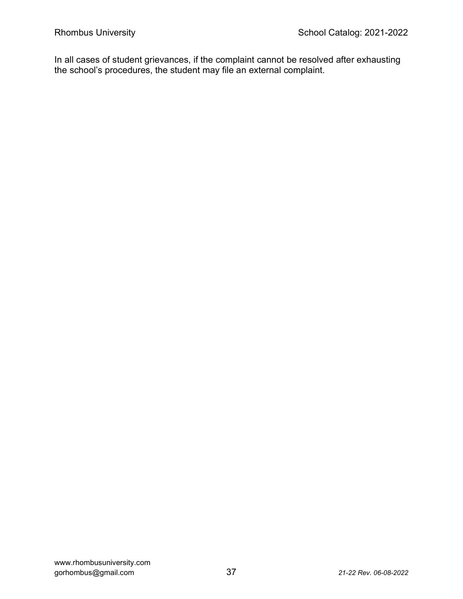In all cases of student grievances, if the complaint cannot be resolved after exhausting the school's procedures, the student may file an external complaint.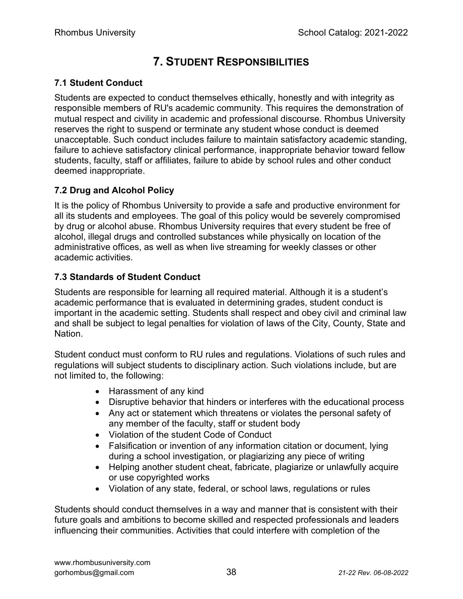## 7. STUDENT RESPONSIBILITIES

#### 7.1 Student Conduct

Students are expected to conduct themselves ethically, honestly and with integrity as responsible members of RU's academic community. This requires the demonstration of mutual respect and civility in academic and professional discourse. Rhombus University reserves the right to suspend or terminate any student whose conduct is deemed unacceptable. Such conduct includes failure to maintain satisfactory academic standing, failure to achieve satisfactory clinical performance, inappropriate behavior toward fellow students, faculty, staff or affiliates, failure to abide by school rules and other conduct deemed inappropriate.

#### 7.2 Drug and Alcohol Policy

It is the policy of Rhombus University to provide a safe and productive environment for all its students and employees. The goal of this policy would be severely compromised by drug or alcohol abuse. Rhombus University requires that every student be free of alcohol, illegal drugs and controlled substances while physically on location of the administrative offices, as well as when live streaming for weekly classes or other academic activities.

#### 7.3 Standards of Student Conduct

Students are responsible for learning all required material. Although it is a student's academic performance that is evaluated in determining grades, student conduct is important in the academic setting. Students shall respect and obey civil and criminal law and shall be subject to legal penalties for violation of laws of the City, County, State and Nation.

Student conduct must conform to RU rules and regulations. Violations of such rules and regulations will subject students to disciplinary action. Such violations include, but are not limited to, the following:

- Harassment of any kind
- Disruptive behavior that hinders or interferes with the educational process
- Any act or statement which threatens or violates the personal safety of any member of the faculty, staff or student body
- Violation of the student Code of Conduct
- Falsification or invention of any information citation or document, lying during a school investigation, or plagiarizing any piece of writing
- Helping another student cheat, fabricate, plagiarize or unlawfully acquire or use copyrighted works
- Violation of any state, federal, or school laws, regulations or rules

Students should conduct themselves in a way and manner that is consistent with their future goals and ambitions to become skilled and respected professionals and leaders influencing their communities. Activities that could interfere with completion of the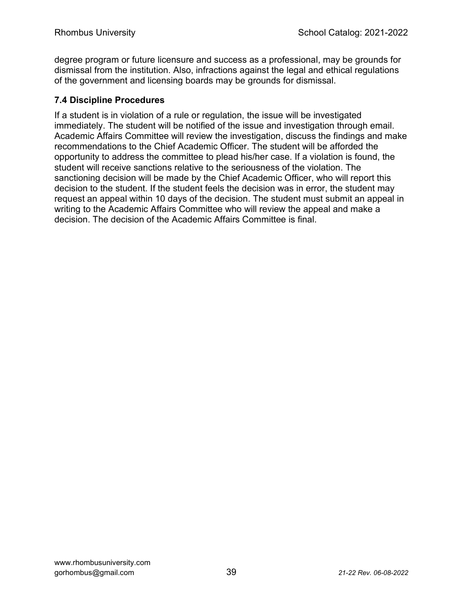degree program or future licensure and success as a professional, may be grounds for dismissal from the institution. Also, infractions against the legal and ethical regulations of the government and licensing boards may be grounds for dismissal.

#### 7.4 Discipline Procedures

If a student is in violation of a rule or regulation, the issue will be investigated immediately. The student will be notified of the issue and investigation through email. Academic Affairs Committee will review the investigation, discuss the findings and make recommendations to the Chief Academic Officer. The student will be afforded the opportunity to address the committee to plead his/her case. If a violation is found, the student will receive sanctions relative to the seriousness of the violation. The sanctioning decision will be made by the Chief Academic Officer, who will report this decision to the student. If the student feels the decision was in error, the student may request an appeal within 10 days of the decision. The student must submit an appeal in writing to the Academic Affairs Committee who will review the appeal and make a decision. The decision of the Academic Affairs Committee is final.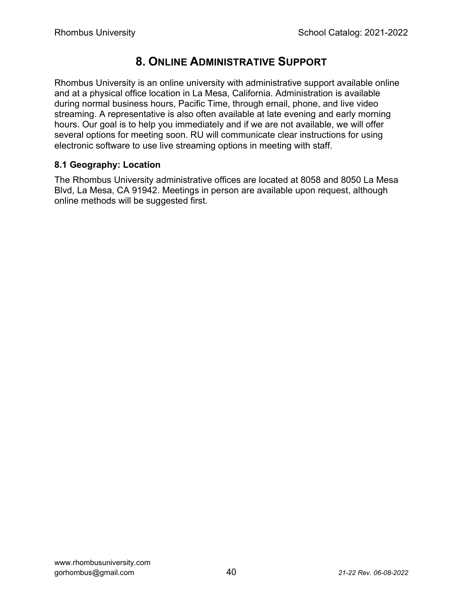### 8. ONLINE ADMINISTRATIVE SUPPORT

Rhombus University is an online university with administrative support available online and at a physical office location in La Mesa, California. Administration is available during normal business hours, Pacific Time, through email, phone, and live video streaming. A representative is also often available at late evening and early morning hours. Our goal is to help you immediately and if we are not available, we will offer several options for meeting soon. RU will communicate clear instructions for using electronic software to use live streaming options in meeting with staff.

#### 8.1 Geography: Location

The Rhombus University administrative offices are located at 8058 and 8050 La Mesa Blvd, La Mesa, CA 91942. Meetings in person are available upon request, although online methods will be suggested first.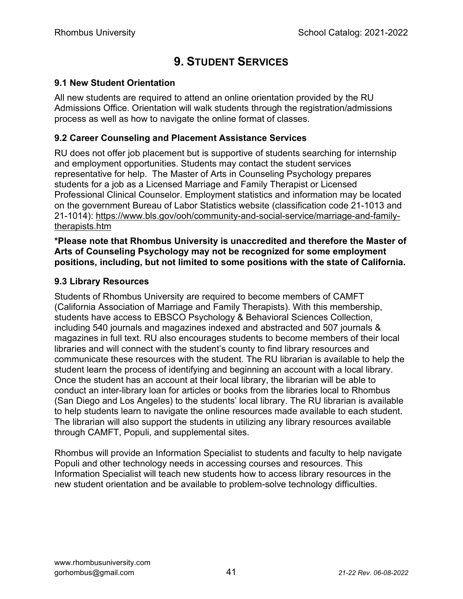## 9. STUDENT SERVICES

#### 9.1 New Student Orientation

All new students are required to attend an online orientation provided by the RU Admissions Office. Orientation will walk students through the registration/admissions process as well as how to navigate the online format of classes.

#### 9.2 Career Counseling and Placement Assistance Services

RU does not offer job placement but is supportive of students searching for internship and employment opportunities. Students may contact the student services representative for help. The Master of Arts in Counseling Psychology prepares students for a job as a Licensed Marriage and Family Therapist or Licensed Professional Clinical Counselor. Employment statistics and information may be located on the government Bureau of Labor Statistics website (classification code 21-1013 and 21-1014): https://www.bls.gov/ooh/community-and-social-service/marriage-and-familytherapists.htm

\*Please note that Rhombus University is unaccredited and therefore the Master of Arts of Counseling Psychology may not be recognized for some employment positions, including, but not limited to some positions with the state of California.

#### 9.3 Library Resources

Students of Rhombus University are required to become members of CAMFT (California Association of Marriage and Family Therapists). With this membership, students have access to EBSCO Psychology & Behavioral Sciences Collection, including 540 journals and magazines indexed and abstracted and 507 journals & magazines in full text. RU also encourages students to become members of their local libraries and will connect with the student's county to find library resources and communicate these resources with the student. The RU librarian is available to help the student learn the process of identifying and beginning an account with a local library. Once the student has an account at their local library, the librarian will be able to conduct an inter-library loan for articles or books from the libraries local to Rhombus (San Diego and Los Angeles) to the students' local library. The RU librarian is available to help students learn to navigate the online resources made available to each student. The librarian will also support the students in utilizing any library resources available through CAMFT, Populi, and supplemental sites.

Rhombus will provide an Information Specialist to students and faculty to help navigate Populi and other technology needs in accessing courses and resources. This Information Specialist will teach new students how to access library resources in the new student orientation and be available to problem-solve technology difficulties.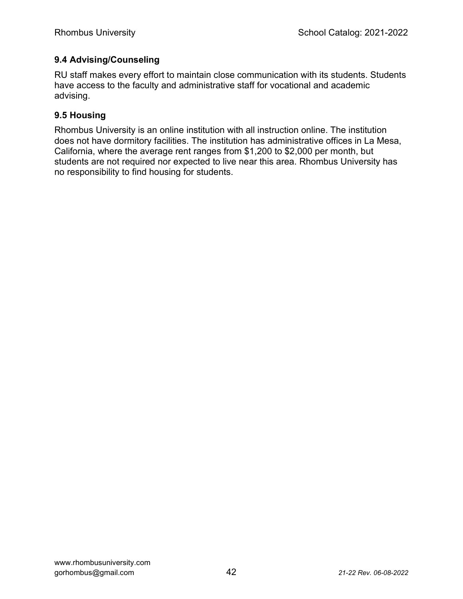#### 9.4 Advising/Counseling

RU staff makes every effort to maintain close communication with its students. Students have access to the faculty and administrative staff for vocational and academic advising.

#### 9.5 Housing

Rhombus University is an online institution with all instruction online. The institution does not have dormitory facilities. The institution has administrative offices in La Mesa, California, where the average rent ranges from \$1,200 to \$2,000 per month, but students are not required nor expected to live near this area. Rhombus University has no responsibility to find housing for students.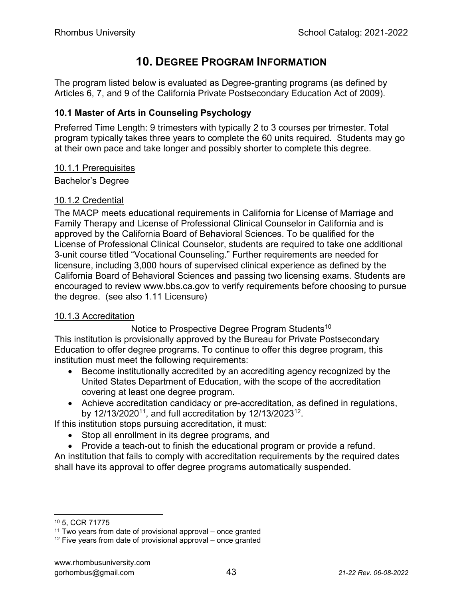## 10. DEGREE PROGRAM INFORMATION

The program listed below is evaluated as Degree-granting programs (as defined by Articles 6, 7, and 9 of the California Private Postsecondary Education Act of 2009).

#### 10.1 Master of Arts in Counseling Psychology

Preferred Time Length: 9 trimesters with typically 2 to 3 courses per trimester. Total program typically takes three years to complete the 60 units required. Students may go at their own pace and take longer and possibly shorter to complete this degree.

#### 10.1.1 Prerequisites

Bachelor's Degree

#### 10.1.2 Credential

The MACP meets educational requirements in California for License of Marriage and Family Therapy and License of Professional Clinical Counselor in California and is approved by the California Board of Behavioral Sciences. To be qualified for the License of Professional Clinical Counselor, students are required to take one additional 3-unit course titled "Vocational Counseling." Further requirements are needed for licensure, including 3,000 hours of supervised clinical experience as defined by the California Board of Behavioral Sciences and passing two licensing exams. Students are encouraged to review www.bbs.ca.gov to verify requirements before choosing to pursue the degree. (see also 1.11 Licensure)

#### 10.1.3 Accreditation

Notice to Prospective Degree Program Students<sup>10</sup>

This institution is provisionally approved by the Bureau for Private Postsecondary Education to offer degree programs. To continue to offer this degree program, this institution must meet the following requirements:

- Become institutionally accredited by an accrediting agency recognized by the United States Department of Education, with the scope of the accreditation covering at least one degree program.
- Achieve accreditation candidacy or pre-accreditation, as defined in regulations, by 12/13/2020<sup>11</sup>, and full accreditation by 12/13/2023<sup>12</sup>.

If this institution stops pursuing accreditation, it must:

- Stop all enrollment in its degree programs, and
- Provide a teach-out to finish the educational program or provide a refund.

An institution that fails to comply with accreditation requirements by the required dates shall have its approval to offer degree programs automatically suspended.

<sup>10</sup> 5, CCR 71775

 $11$  Two years from date of provisional approval – once granted

 $12$  Five years from date of provisional approval – once granted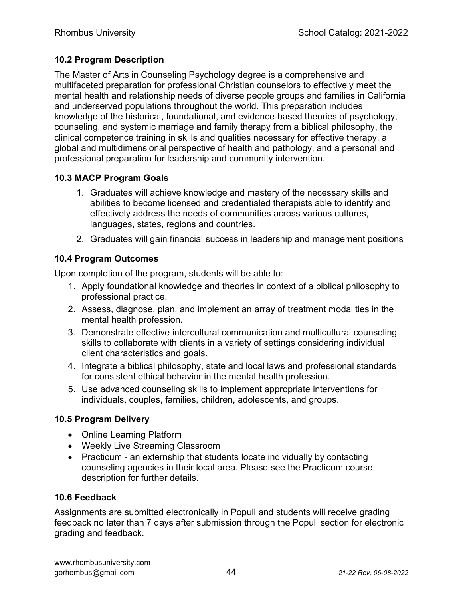#### 10.2 Program Description

The Master of Arts in Counseling Psychology degree is a comprehensive and multifaceted preparation for professional Christian counselors to effectively meet the mental health and relationship needs of diverse people groups and families in California and underserved populations throughout the world. This preparation includes knowledge of the historical, foundational, and evidence-based theories of psychology, counseling, and systemic marriage and family therapy from a biblical philosophy, the clinical competence training in skills and qualities necessary for effective therapy, a global and multidimensional perspective of health and pathology, and a personal and professional preparation for leadership and community intervention.

#### 10.3 MACP Program Goals

- 1. Graduates will achieve knowledge and mastery of the necessary skills and abilities to become licensed and credentialed therapists able to identify and effectively address the needs of communities across various cultures, languages, states, regions and countries.
- 2. Graduates will gain financial success in leadership and management positions

#### 10.4 Program Outcomes

Upon completion of the program, students will be able to:

- 1. Apply foundational knowledge and theories in context of a biblical philosophy to professional practice.
- 2. Assess, diagnose, plan, and implement an array of treatment modalities in the mental health profession.
- 3. Demonstrate effective intercultural communication and multicultural counseling skills to collaborate with clients in a variety of settings considering individual client characteristics and goals.
- 4. Integrate a biblical philosophy, state and local laws and professional standards for consistent ethical behavior in the mental health profession.
- 5. Use advanced counseling skills to implement appropriate interventions for individuals, couples, families, children, adolescents, and groups.

#### 10.5 Program Delivery

- Online Learning Platform
- Weekly Live Streaming Classroom
- Practicum an externship that students locate individually by contacting counseling agencies in their local area. Please see the Practicum course description for further details.

#### 10.6 Feedback

Assignments are submitted electronically in Populi and students will receive grading feedback no later than 7 days after submission through the Populi section for electronic grading and feedback.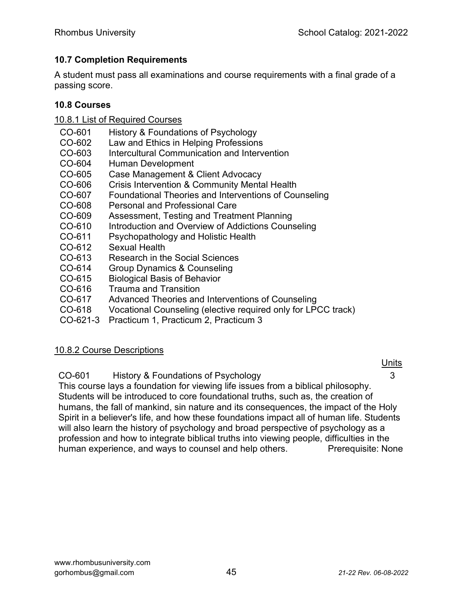#### 10.7 Completion Requirements

A student must pass all examinations and course requirements with a final grade of a passing score.

#### 10.8 Courses

- 10.8.1 List of Required Courses
- CO-601 History & Foundations of Psychology
- CO-602 Law and Ethics in Helping Professions
- CO-603 Intercultural Communication and Intervention
- CO-604 Human Development
- CO-605 Case Management & Client Advocacy
- CO-606 Crisis Intervention & Community Mental Health
- CO-607 Foundational Theories and Interventions of Counseling
- CO-608 Personal and Professional Care
- CO-609 Assessment, Testing and Treatment Planning
- CO-610 Introduction and Overview of Addictions Counseling
- CO-611 Psychopathology and Holistic Health
- CO-612 Sexual Health
- CO-613 Research in the Social Sciences
- CO-614 Group Dynamics & Counseling
- CO-615 Biological Basis of Behavior
- CO-616 Trauma and Transition
- CO-617 Advanced Theories and Interventions of Counseling
- CO-618 Vocational Counseling (elective required only for LPCC track)
- CO-621-3 Practicum 1, Practicum 2, Practicum 3

#### 10.8.2 Course Descriptions

CO-601 History & Foundations of Psychology 3

This course lays a foundation for viewing life issues from a biblical philosophy. Students will be introduced to core foundational truths, such as, the creation of humans, the fall of mankind, sin nature and its consequences, the impact of the Holy Spirit in a believer's life, and how these foundations impact all of human life. Students will also learn the history of psychology and broad perspective of psychology as a profession and how to integrate biblical truths into viewing people, difficulties in the human experience, and ways to counsel and help others. Prerequisite: None

units and the contract of the contract of the contract of the contract of the contract of the contract of the c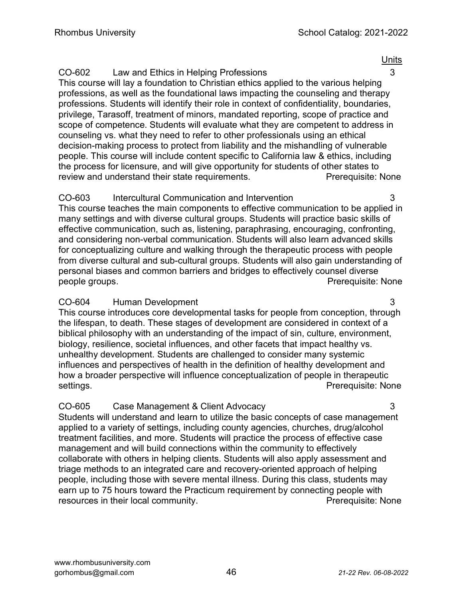#### CO-602 Law and Ethics in Helping Professions 3

This course will lay a foundation to Christian ethics applied to the various helping professions, as well as the foundational laws impacting the counseling and therapy professions. Students will identify their role in context of confidentiality, boundaries, privilege, Tarasoff, treatment of minors, mandated reporting, scope of practice and scope of competence. Students will evaluate what they are competent to address in counseling vs. what they need to refer to other professionals using an ethical decision-making process to protect from liability and the mishandling of vulnerable people. This course will include content specific to California law & ethics, including the process for licensure, and will give opportunity for students of other states to review and understand their state requirements. The reconnect Prerequisite: None

#### CO-603 Intercultural Communication and Intervention 3

This course teaches the main components to effective communication to be applied in many settings and with diverse cultural groups. Students will practice basic skills of effective communication, such as, listening, paraphrasing, encouraging, confronting, and considering non-verbal communication. Students will also learn advanced skills for conceptualizing culture and walking through the therapeutic process with people from diverse cultural and sub-cultural groups. Students will also gain understanding of personal biases and common barriers and bridges to effectively counsel diverse people groups. Prerequisite: None

#### CO-604 Human Development 3

This course introduces core developmental tasks for people from conception, through the lifespan, to death. These stages of development are considered in context of a biblical philosophy with an understanding of the impact of sin, culture, environment, biology, resilience, societal influences, and other facets that impact healthy vs. unhealthy development. Students are challenged to consider many systemic influences and perspectives of health in the definition of healthy development and how a broader perspective will influence conceptualization of people in therapeutic settings. The extension of the extent of the extent of the extent of the extent of the extent of the extent of the extent of the extent of the extent of the extent of the extent of the extent of the extent of the extent of

#### CO-605 Case Management & Client Advocacy 3

Students will understand and learn to utilize the basic concepts of case management applied to a variety of settings, including county agencies, churches, drug/alcohol treatment facilities, and more. Students will practice the process of effective case management and will build connections within the community to effectively collaborate with others in helping clients. Students will also apply assessment and triage methods to an integrated care and recovery-oriented approach of helping people, including those with severe mental illness. During this class, students may earn up to 75 hours toward the Practicum requirement by connecting people with resources in their local community. The example of the Prerequisite: None

units and the contract of the contract of the contract of the contract of the contract of the contract of the c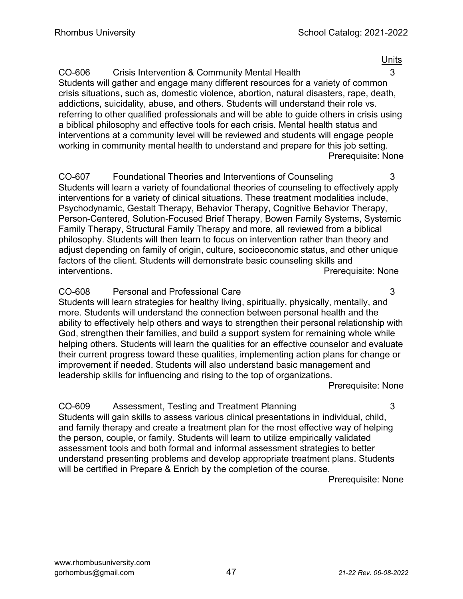units and the contract of the contract of the contract of the contract of the contract of the contract of the c

CO-606 Crisis Intervention & Community Mental Health 3 Students will gather and engage many different resources for a variety of common crisis situations, such as, domestic violence, abortion, natural disasters, rape, death, addictions, suicidality, abuse, and others. Students will understand their role vs. referring to other qualified professionals and will be able to guide others in crisis using a biblical philosophy and effective tools for each crisis. Mental health status and interventions at a community level will be reviewed and students will engage people working in community mental health to understand and prepare for this job setting. Prerequisite: None

CO-607 Foundational Theories and Interventions of Counseling 3 Students will learn a variety of foundational theories of counseling to effectively apply interventions for a variety of clinical situations. These treatment modalities include, Psychodynamic, Gestalt Therapy, Behavior Therapy, Cognitive Behavior Therapy, Person-Centered, Solution-Focused Brief Therapy, Bowen Family Systems, Systemic Family Therapy, Structural Family Therapy and more, all reviewed from a biblical philosophy. Students will then learn to focus on intervention rather than theory and adjust depending on family of origin, culture, socioeconomic status, and other unique factors of the client. Students will demonstrate basic counseling skills and interventions. Prerequisite: None

#### CO-608 Personal and Professional Care 3

Students will learn strategies for healthy living, spiritually, physically, mentally, and more. Students will understand the connection between personal health and the ability to effectively help others and ways to strengthen their personal relationship with God, strengthen their families, and build a support system for remaining whole while helping others. Students will learn the qualities for an effective counselor and evaluate their current progress toward these qualities, implementing action plans for change or improvement if needed. Students will also understand basic management and leadership skills for influencing and rising to the top of organizations.

Prerequisite: None

CO-609 Assessment, Testing and Treatment Planning 3 Students will gain skills to assess various clinical presentations in individual, child, and family therapy and create a treatment plan for the most effective way of helping the person, couple, or family. Students will learn to utilize empirically validated assessment tools and both formal and informal assessment strategies to better understand presenting problems and develop appropriate treatment plans. Students will be certified in Prepare & Enrich by the completion of the course.

Prerequisite: None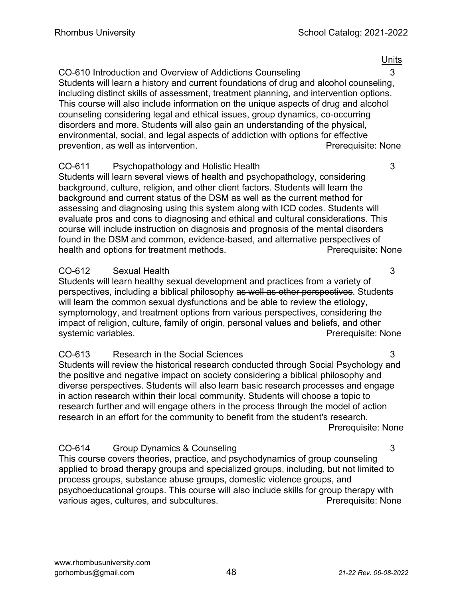units and the contract of the contract of the contract of the contract of the contract of the contract of the c

#### CO-610 Introduction and Overview of Addictions Counseling **3**

Students will learn a history and current foundations of drug and alcohol counseling, including distinct skills of assessment, treatment planning, and intervention options. This course will also include information on the unique aspects of drug and alcohol counseling considering legal and ethical issues, group dynamics, co-occurring disorders and more. Students will also gain an understanding of the physical, environmental, social, and legal aspects of addiction with options for effective prevention, as well as intervention. The example of the extendion of the prerequisite: None

#### CO-611 Psychopathology and Holistic Health 3

Students will learn several views of health and psychopathology, considering background, culture, religion, and other client factors. Students will learn the background and current status of the DSM as well as the current method for assessing and diagnosing using this system along with ICD codes. Students will evaluate pros and cons to diagnosing and ethical and cultural considerations. This course will include instruction on diagnosis and prognosis of the mental disorders found in the DSM and common, evidence-based, and alternative perspectives of health and options for treatment methods. The example of the Prerequisite: None

#### CO-612 Sexual Health 3

Students will learn healthy sexual development and practices from a variety of perspectives, including a biblical philosophy as well as other perspectives. Students will learn the common sexual dysfunctions and be able to review the etiology, symptomology, and treatment options from various perspectives, considering the impact of religion, culture, family of origin, personal values and beliefs, and other systemic variables. **Preference in the example of the example of the example of the example of the example of the example of the example of the example of the example of the example of the example of the example of the exa** 

#### CO-613 Research in the Social Sciences 3

Students will review the historical research conducted through Social Psychology and the positive and negative impact on society considering a biblical philosophy and diverse perspectives. Students will also learn basic research processes and engage in action research within their local community. Students will choose a topic to research further and will engage others in the process through the model of action research in an effort for the community to benefit from the student's research. Prerequisite: None

#### CO-614 Group Dynamics & Counseling 3

This course covers theories, practice, and psychodynamics of group counseling applied to broad therapy groups and specialized groups, including, but not limited to process groups, substance abuse groups, domestic violence groups, and psychoeducational groups. This course will also include skills for group therapy with various ages, cultures, and subcultures. example the example of Prerequisite: None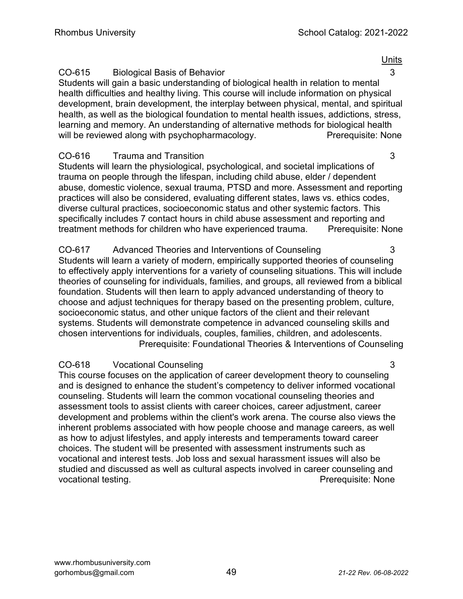#### CO-615 Biological Basis of Behavior 3

Students will gain a basic understanding of biological health in relation to mental health difficulties and healthy living. This course will include information on physical development, brain development, the interplay between physical, mental, and spiritual health, as well as the biological foundation to mental health issues, addictions, stress, learning and memory. An understanding of alternative methods for biological health will be reviewed along with psychopharmacology. The reviewing Prerequisite: None

#### CO-616 Trauma and Transition 3

Students will learn the physiological, psychological, and societal implications of trauma on people through the lifespan, including child abuse, elder / dependent abuse, domestic violence, sexual trauma, PTSD and more. Assessment and reporting practices will also be considered, evaluating different states, laws vs. ethics codes, diverse cultural practices, socioeconomic status and other systemic factors. This specifically includes 7 contact hours in child abuse assessment and reporting and treatment methods for children who have experienced trauma. Prerequisite: None

CO-617 Advanced Theories and Interventions of Counseling 3 Students will learn a variety of modern, empirically supported theories of counseling to effectively apply interventions for a variety of counseling situations. This will include theories of counseling for individuals, families, and groups, all reviewed from a biblical foundation. Students will then learn to apply advanced understanding of theory to choose and adjust techniques for therapy based on the presenting problem, culture, socioeconomic status, and other unique factors of the client and their relevant systems. Students will demonstrate competence in advanced counseling skills and chosen interventions for individuals, couples, families, children, and adolescents. Prerequisite: Foundational Theories & Interventions of Counseling

#### CO-618 Vocational Counseling 3

This course focuses on the application of career development theory to counseling and is designed to enhance the student's competency to deliver informed vocational counseling. Students will learn the common vocational counseling theories and assessment tools to assist clients with career choices, career adjustment, career development and problems within the client's work arena. The course also views the inherent problems associated with how people choose and manage careers, as well as how to adjust lifestyles, and apply interests and temperaments toward career choices. The student will be presented with assessment instruments such as vocational and interest tests. Job loss and sexual harassment issues will also be studied and discussed as well as cultural aspects involved in career counseling and vocational testing. The example of the extra set of the example of the example of the example of the example of the example of the example of the example of the example of the example of the example of the example of the e

units and the contract of the contract of the contract of the contract of the contract of the contract of the c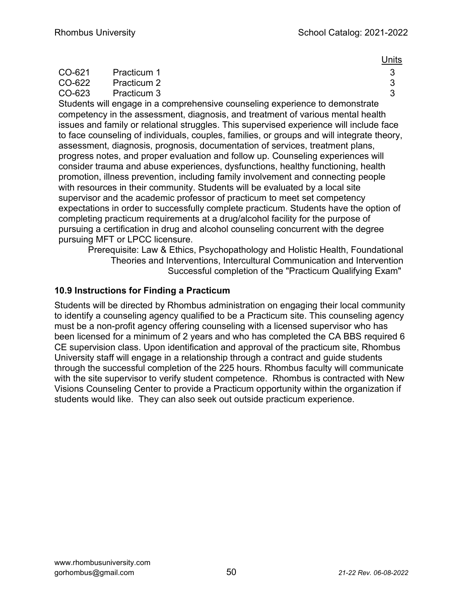|        |             |  |  | <b>Units</b> |
|--------|-------------|--|--|--------------|
| CO-621 | Practicum 1 |  |  |              |
| CO-622 | Practicum 2 |  |  |              |
| CO-623 | Practicum 3 |  |  |              |
|        |             |  |  |              |

Students will engage in a comprehensive counseling experience to demonstrate competency in the assessment, diagnosis, and treatment of various mental health issues and family or relational struggles. This supervised experience will include face to face counseling of individuals, couples, families, or groups and will integrate theory, assessment, diagnosis, prognosis, documentation of services, treatment plans, progress notes, and proper evaluation and follow up. Counseling experiences will consider trauma and abuse experiences, dysfunctions, healthy functioning, health promotion, illness prevention, including family involvement and connecting people with resources in their community. Students will be evaluated by a local site supervisor and the academic professor of practicum to meet set competency expectations in order to successfully complete practicum. Students have the option of completing practicum requirements at a drug/alcohol facility for the purpose of pursuing a certification in drug and alcohol counseling concurrent with the degree pursuing MFT or LPCC licensure.

Prerequisite: Law & Ethics, Psychopathology and Holistic Health, Foundational Theories and Interventions, Intercultural Communication and Intervention Successful completion of the "Practicum Qualifying Exam"

#### 10.9 Instructions for Finding a Practicum

Students will be directed by Rhombus administration on engaging their local community to identify a counseling agency qualified to be a Practicum site. This counseling agency must be a non-profit agency offering counseling with a licensed supervisor who has been licensed for a minimum of 2 years and who has completed the CA BBS required 6 CE supervision class. Upon identification and approval of the practicum site, Rhombus University staff will engage in a relationship through a contract and guide students through the successful completion of the 225 hours. Rhombus faculty will communicate with the site supervisor to verify student competence. Rhombus is contracted with New Visions Counseling Center to provide a Practicum opportunity within the organization if students would like. They can also seek out outside practicum experience.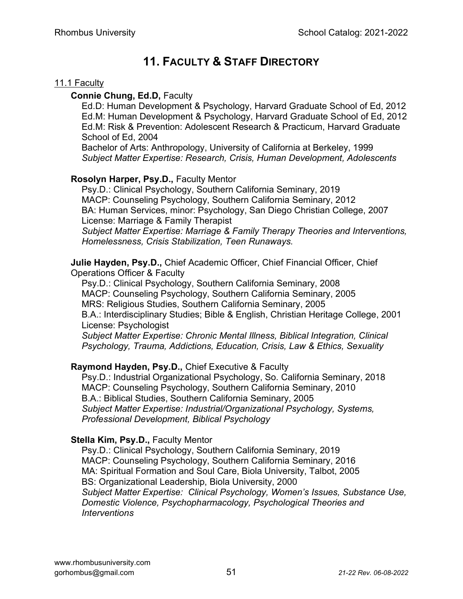## 11. FACULTY & STAFF DIRECTORY

#### 11.1 Faculty

#### Connie Chung, Ed.D, Faculty

Ed.D: Human Development & Psychology, Harvard Graduate School of Ed, 2012 Ed.M: Human Development & Psychology, Harvard Graduate School of Ed, 2012 Ed.M: Risk & Prevention: Adolescent Research & Practicum, Harvard Graduate School of Ed, 2004

Bachelor of Arts: Anthropology, University of California at Berkeley, 1999 Subject Matter Expertise: Research, Crisis, Human Development, Adolescents

#### Rosolyn Harper, Psy.D., Faculty Mentor

Psy.D.: Clinical Psychology, Southern California Seminary, 2019 MACP: Counseling Psychology, Southern California Seminary, 2012 BA: Human Services, minor: Psychology, San Diego Christian College, 2007 License: Marriage & Family Therapist

Subject Matter Expertise: Marriage & Family Therapy Theories and Interventions, Homelessness, Crisis Stabilization, Teen Runaways.

Julie Hayden, Psy.D., Chief Academic Officer, Chief Financial Officer, Chief Operations Officer & Faculty

Psy.D.: Clinical Psychology, Southern California Seminary, 2008 MACP: Counseling Psychology, Southern California Seminary, 2005 MRS: Religious Studies, Southern California Seminary, 2005 B.A.: Interdisciplinary Studies; Bible & English, Christian Heritage College, 2001 License: Psychologist

Subject Matter Expertise: Chronic Mental Illness, Biblical Integration, Clinical Psychology, Trauma, Addictions, Education, Crisis, Law & Ethics, Sexuality

#### Raymond Hayden, Psy.D., Chief Executive & Faculty

Psy.D.: Industrial Organizational Psychology, So. California Seminary, 2018 MACP: Counseling Psychology, Southern California Seminary, 2010 B.A.: Biblical Studies, Southern California Seminary, 2005 Subject Matter Expertise: Industrial/Organizational Psychology, Systems, Professional Development, Biblical Psychology

#### Stella Kim, Psy.D., Faculty Mentor

Psy.D.: Clinical Psychology, Southern California Seminary, 2019 MACP: Counseling Psychology, Southern California Seminary, 2016 MA: Spiritual Formation and Soul Care, Biola University, Talbot, 2005 BS: Organizational Leadership, Biola University, 2000 Subject Matter Expertise: Clinical Psychology, Women's Issues, Substance Use, Domestic Violence, Psychopharmacology, Psychological Theories and **Interventions**